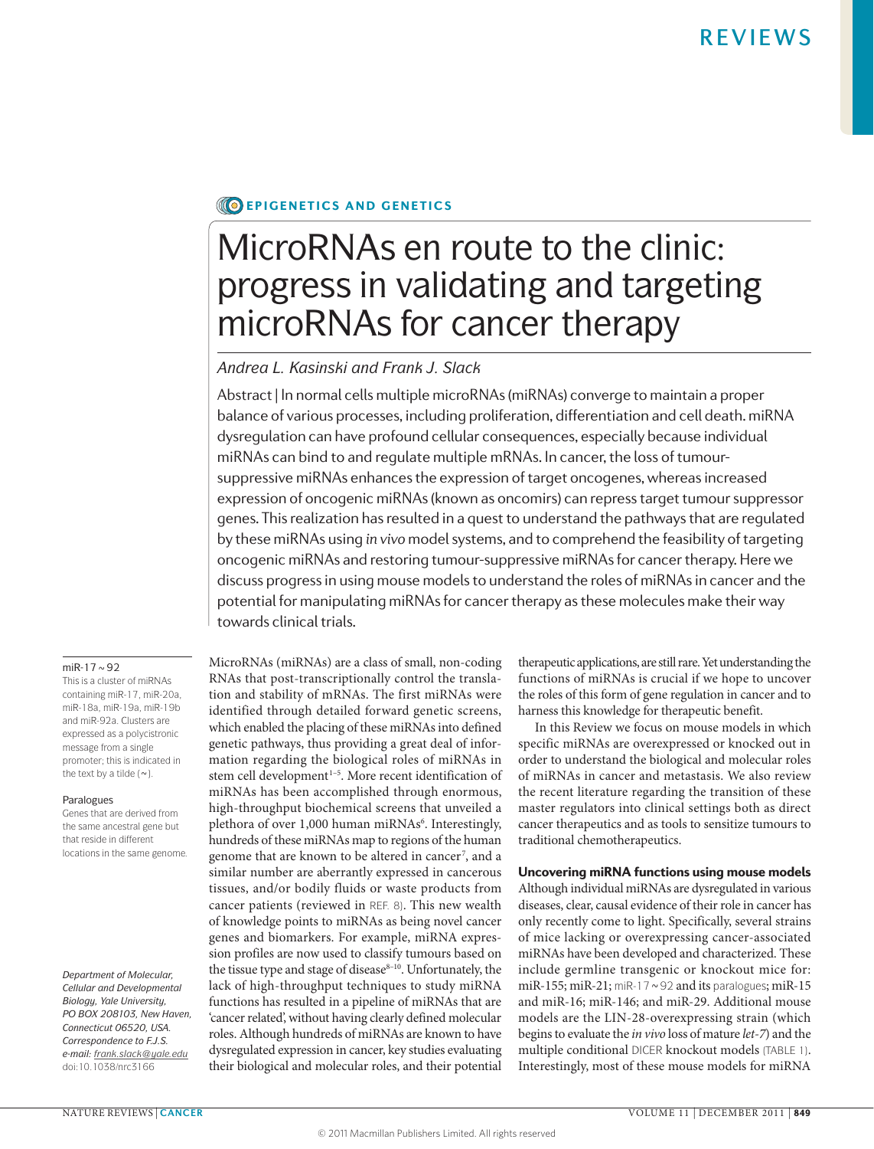# **CO EPIGENETICS AND GENETICS**

# MicroRNAs en route to the clinic: progress in validating and targeting microRNAs for cancer therapy

# *Andrea L. Kasinski and Frank J. Slack*

Abstract | In normal cells multiple microRNAs (miRNAs) converge to maintain a proper balance of various processes, including proliferation, differentiation and cell death. miRNA dysregulation can have profound cellular consequences, especially because individual miRNAs can bind to and regulate multiple mRNAs. In cancer, the loss of tumoursuppressive miRNAs enhances the expression of target oncogenes, whereas increased expression of oncogenic miRNAs (known as oncomirs) can repress target tumour suppressor genes. This realization has resulted in a quest to understand the pathways that are regulated by these miRNAs using *in vivo* model systems, and to comprehend the feasibility of targeting oncogenic miRNAs and restoring tumour-suppressive miRNAs for cancer therapy. Here we discuss progress in using mouse models to understand the roles of miRNAs in cancer and the potential for manipulating miRNAs for cancer therapy as these molecules make their way towards clinical trials.

## miR-17 $\sim$ 92

This is a cluster of miRNAs containing miR‑17, miR‑20a, miR‑18a, miR‑19a, miR‑19b and miR‑92a. Clusters are expressed as a polycistronic message from a single promoter; this is indicated in the text by a tilde  $(\sim)$ .

# Paralogues

Genes that are derived from the same ancestral gene but that reside in different locations in the same genome.

*Department of Molecular, Cellular and Developmental Biology, Yale University, PO BOX 208103, New Haven, Connecticut 06520, USA. Correspondence to F.J.S. e‑mail: [frank.slack@yale.edu](mailto:frank.slack@yale.edu)* doi:10.1038/nrc3166

MicroRNAs (miRNAs) are a class of small, non-coding RNAs that post-transcriptionally control the translation and stability of mRNAs. The first miRNAs were identified through detailed forward genetic screens, which enabled the placing of these miRNAs into defined genetic pathways, thus providing a great deal of information regarding the biological roles of miRNAs in stem cell development<sup>1-5</sup>. More recent identification of miRNAs has been accomplished through enormous, high-throughput biochemical screens that unveiled a plethora of over 1,000 human miRNAs<sup>6</sup>. Interestingly, hundreds of these miRNAs map to regions of the human genome that are known to be altered in cancer <sup>7</sup> , and a similar number are aberrantly expressed in cancerous tissues, and/or bodily fluids or waste products from cancer patients (reviewed in REF. 8). This new wealth of knowledge points to miRNAs as being novel cancer genes and biomarkers. For example, miRNA expression profiles are now used to classify tumours based on the tissue type and stage of disease<sup>8-10</sup>. Unfortunately, the lack of high-throughput techniques to study miRNA functions has resulted in a pipeline of miRNAs that are 'cancer related', without having clearly defined molecular roles. Although hundreds of miRNAs are known to have dysregulated expression in cancer, key studies evaluating their biological and molecular roles, and their potential therapeutic applications, are still rare. Yet understanding the functions of miRNAs is crucial if we hope to uncover the roles of this form of gene regulation in cancer and to harness this knowledge for therapeutic benefit.

In this Review we focus on mouse models in which specific miRNAs are overexpressed or knocked out in order to understand the biological and molecular roles of miRNAs in cancer and metastasis. We also review the recent literature regarding the transition of these master regulators into clinical settings both as direct cancer therapeutics and as tools to sensitize tumours to traditional chemotherapeutics.

# Uncovering miRNA functions using mouse models

Although individual miRNAs are dysregulated in various diseases, clear, causal evidence of their role in cancer has only recently come to light. Specifically, several strains of mice lacking or overexpressing cancer-associated miRNAs have been developed and characterized. These include germline transgenic or knockout mice for: miR-155; miR-21; miR-17  $\sim$  92 and its paralogues; miR-15 and miR-16; miR-146; and miR-29. Additional mouse models are the LIN-28-overexpressing strain (which begins to evaluate the *in vivo* loss of mature *let‑7*) and the multiple conditional DICER knockout models (TABLE 1). Interestingly, most of these mouse models for miRNA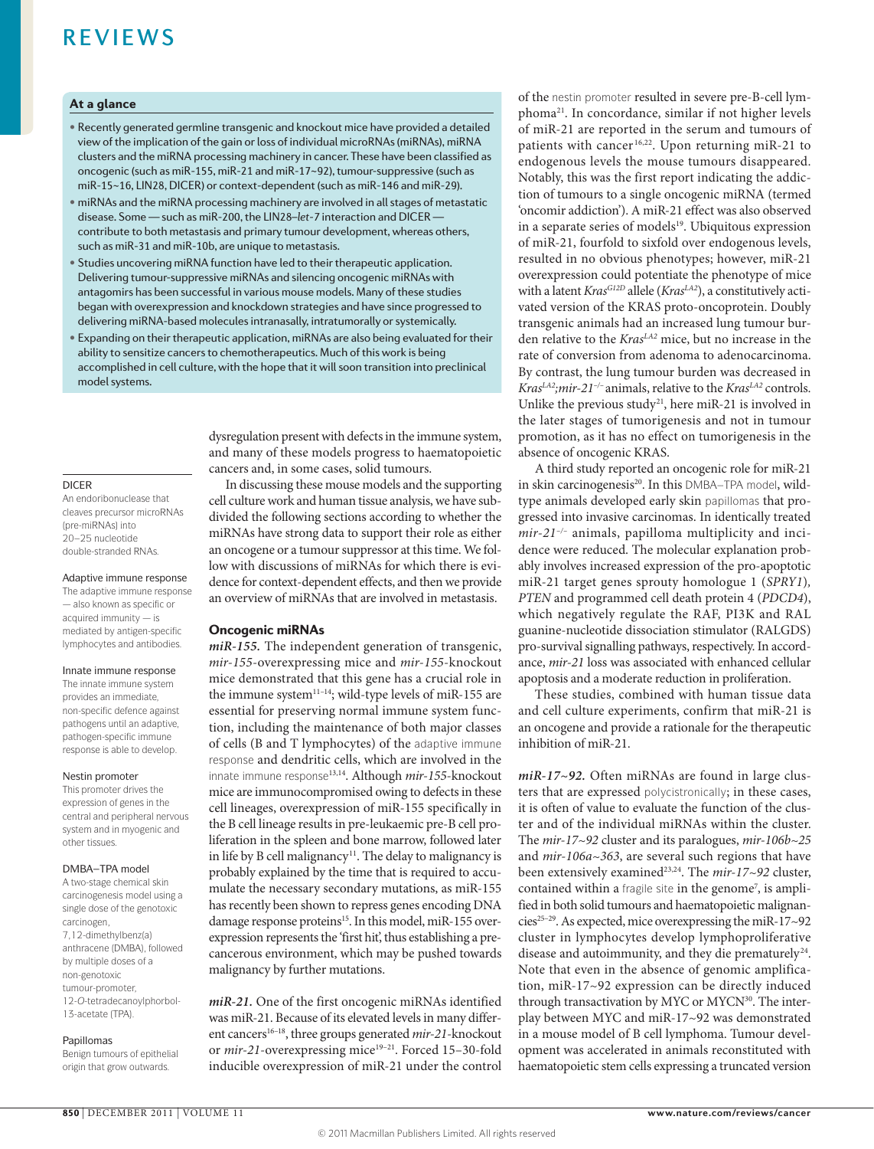# At a glance

- Recently generated germline transgenic and knockout mice have provided a detailed view ofthe implication ofthe gain orloss of individual microRNAs(miRNAs), miRNA clusters and the miRNA processing machinery in cancer. These have been classified as oncogenic (such as miR-155, miR-21 and miR-17~92), tumour-suppressive (such as miR-15~16, LIN28, DICER) or context-dependent (such as miR-146 and miR-29).
- miRNAs and the miRNA processing machinery are involved in all stages of metastatic disease. Some - such as miR-200, the LIN28-let-7 interaction and DICER contribute to both metastasis and primary tumour development, whereas others, such as miR-31 and miR-10b, are unique to metastasis.
- Studies uncovering miRNA function have led to their therapeutic application. Delivering tumour-suppressive miRNAs and silencing oncogenic miRNAs with antagomirs has been successful in various mouse models. Many of these studies began with overexpression and knockdown strategies and have since progressed to delivering miRNA-based molecules intranasally, intratumorally or systemically.
- Expanding on their therapeutic application, miRNAs are also being evaluated for their ability to sensitize cancers to chemotherapeutics. Much of this work is being accomplished in cell culture, with the hope that it will soon transition into preclinical model systems.

DICER

An endoribonuclease that cleaves precursor microRNAs (pre-miRNAs) into 20–25 nucleotide double-stranded RNAs.

#### Adaptive immune response

The adaptive immune response — also known as specific or acquired immunity — is mediated by antigen-specific lymphocytes and antibodies.

#### Innate immune response

The innate immune system provides an immediate, non-specific defence against pathogens until an adaptive, pathogen-specific immune response is able to develop.

### Nestin promoter

This promoter drives the expression of genes in the central and peripheral nervous system and in myogenic and other tissues.

## DMBA–TPA model

A two-stage chemical skin carcinogenesis model using a single dose of the genotoxic carcinogen, 7,12‑dimethylbenz(a) anthracene (DMBA), followed by multiple doses of a non-genotoxic tumour-promoter, 12‑*O*-tetradecanoylphorbol-13‑acetate (TPA).

#### Papillomas

Benign tumours of epithelial origin that grow outwards.

dysregulation present with defects in the immune system, and many of these models progress to haematopoietic cancers and, in some cases, solid tumours.

In discussing these mouse models and the supporting cell culture work and human tissue analysis, we have subdivided the following sections according to whether the miRNAs have strong data to support their role as either an oncogene or a tumour suppressor at this time. We follow with discussions of miRNAs for which there is evidence for context-dependent effects, and then we provide an overview of miRNAs that are involved in metastasis.

# Oncogenic miRNAs

*miR‑155.* The independent generation of transgenic, *mir‑155*-overexpressing mice and *mir‑155*-knockout mice demonstrated that this gene has a crucial role in the immune system $11-14$ ; wild-type levels of miR-155 are essential for preserving normal immune system function, including the maintenance of both major classes of cells (B and T lymphocytes) of the adaptive immune response and dendritic cells, which are involved in the innate immune response13,14. Although *mir‑155*-knockout mice are immunocompromised owing to defects in these cell lineages, overexpression of miR-155 specifically in the B cell lineage results in pre-leukaemic pre-B cell proliferation in the spleen and bone marrow, followed later in life by B cell malignancy<sup>11</sup>. The delay to malignancy is probably explained by the time that is required to accumulate the necessary secondary mutations, as miR-155 has recently been shown to repress genes encoding DNA damage response proteins<sup>15</sup>. In this model, miR-155 overexpression represents the 'first hit', thus establishing a precancerous environment, which may be pushed towards malignancy by further mutations.

*miR‑21.* One of the first oncogenic miRNAs identified was miR-21. Because of its elevated levels in many different cancers<sup>16-18</sup>, three groups generated *mir-21*-knockout or *mir-21*-overexpressing mice<sup>19-21</sup>. Forced 15-30-fold inducible overexpression of miR-21 under the control

of the nestin promoter resulted in severe pre-B-cell lymphoma21. In concordance, similar if not higher levels of miR-21 are reported in the serum and tumours of patients with cancer<sup>16,22</sup>. Upon returning miR-21 to endogenous levels the mouse tumours disappeared. Notably, this was the first report indicating the addiction of tumours to a single oncogenic miRNA (termed 'oncomir addiction'). A miR-21 effect was also observed in a separate series of models<sup>19</sup>. Ubiquitous expression of miR-21, fourfold to sixfold over endogenous levels, resulted in no obvious phenotypes; however, miR-21 overexpression could potentiate the phenotype of mice with a latent *KrasG12D* allele (*KrasLA2*), a constitutively activated version of the KRAS proto-oncoprotein. Doubly transgenic animals had an increased lung tumour burden relative to the *Kras<sup>LA2</sup>* mice, but no increase in the rate of conversion from adenoma to adenocarcinoma. By contrast, the lung tumour burden was decreased in *KrasLA2;mir‑21–/–* animals, relative to the *KrasLA2* controls. Unlike the previous study<sup>21</sup>, here miR-21 is involved in the later stages of tumorigenesis and not in tumour promotion, as it has no effect on tumorigenesis in the absence of oncogenic KRAS.

A third study reported an oncogenic role for miR-21 in skin carcinogenesis<sup>20</sup>. In this DMBA-TPA model, wildtype animals developed early skin papillomas that progressed into invasive carcinomas. In identically treated *mir‑21–/–* animals, papilloma multiplicity and incidence were reduced. The molecular explanation probably involves increased expression of the pro-apoptotic miR-21 target genes sprouty homologue 1 (*SPRY1*)*, PTEN* and programmed cell death protein 4 (*PDCD4*), which negatively regulate the RAF, PI3K and RAL guanine-nucleotide dissociation stimulator (RALGDS) pro-survival signalling pathways, respectively. In accordance, *mir‑21* loss was associated with enhanced cellular apoptosis and a moderate reduction in proliferation.

These studies, combined with human tissue data and cell culture experiments, confirm that miR-21 is an oncogene and provide a rationale for the therapeutic inhibition of miR-21.

*miR‑17~92.* Often miRNAs are found in large clusters that are expressed polycistronically; in these cases, it is often of value to evaluate the function of the cluster and of the individual miRNAs within the cluster. The *mir‑17~92* cluster and its paralogues, *mir‑106b~25* and *mir‑106a~363*, are several such regions that have been extensively examined<sup>23,24</sup>. The *mir-17~92* cluster, contained within a fragile site in the genome<sup>7</sup>, is amplified in both solid tumours and haematopoietic malignancies<sup>25-29</sup>. As expected, mice overexpressing the miR-17~92 cluster in lymphocytes develop lymphoproliferative disease and autoimmunity, and they die prematurely<sup>24</sup>. Note that even in the absence of genomic amplification, miR-17~92 expression can be directly induced through transactivation by MYC or MYCN<sup>30</sup>. The interplay between MYC and miR-17~92 was demonstrated in a mouse model of B cell lymphoma. Tumour development was accelerated in animals reconstituted with haematopoietic stem cells expressing a truncated version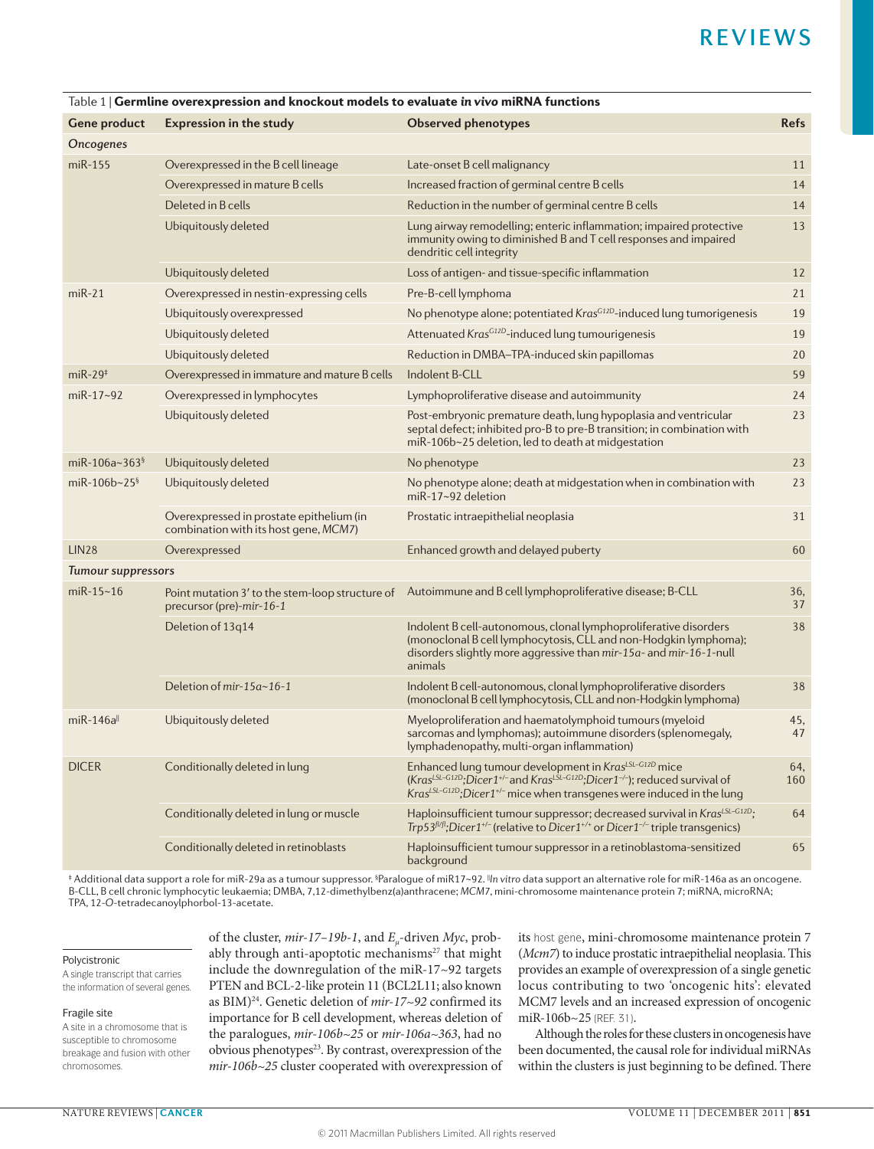| Gene product              | <b>Expression in the study</b>                                                    | <b>Observed phenotypes</b>                                                                                                                                                                                                                                                                         | <b>Refs</b> |  |  |  |
|---------------------------|-----------------------------------------------------------------------------------|----------------------------------------------------------------------------------------------------------------------------------------------------------------------------------------------------------------------------------------------------------------------------------------------------|-------------|--|--|--|
| Oncogenes                 |                                                                                   |                                                                                                                                                                                                                                                                                                    |             |  |  |  |
| $miR-155$                 | Overexpressed in the B cell lineage                                               | Late-onset B cell malignancy                                                                                                                                                                                                                                                                       | 11          |  |  |  |
|                           | Overexpressed in mature B cells                                                   | Increased fraction of germinal centre B cells                                                                                                                                                                                                                                                      | 14          |  |  |  |
|                           | Deleted in B cells                                                                | Reduction in the number of germinal centre B cells                                                                                                                                                                                                                                                 | 14          |  |  |  |
|                           | Ubiquitously deleted                                                              | Lung airway remodelling; enteric inflammation; impaired protective                                                                                                                                                                                                                                 | 13          |  |  |  |
|                           |                                                                                   | immunity owing to diminished B and T cell responses and impaired<br>dendritic cell integrity                                                                                                                                                                                                       |             |  |  |  |
|                           | Ubiquitously deleted                                                              | Loss of antigen- and tissue-specific inflammation                                                                                                                                                                                                                                                  | 12          |  |  |  |
| $miR-21$                  | Overexpressed in nestin-expressing cells                                          | Pre-B-cell lymphoma                                                                                                                                                                                                                                                                                | 21          |  |  |  |
|                           | Ubiquitously overexpressed                                                        | No phenotype alone; potentiated Kras <sup>G12D</sup> -induced lung tumorigenesis                                                                                                                                                                                                                   | 19          |  |  |  |
|                           | Ubiquitously deleted                                                              | Attenuated KrasG12D-induced lung tumourigenesis                                                                                                                                                                                                                                                    | 19          |  |  |  |
|                           | Ubiquitously deleted                                                              | Reduction in DMBA-TPA-induced skin papillomas                                                                                                                                                                                                                                                      | 20          |  |  |  |
| $miR-29‡$                 | Overexpressed in immature and mature B cells                                      | Indolent B-CLL                                                                                                                                                                                                                                                                                     | 59          |  |  |  |
| $miR-17-92$               | Overexpressed in lymphocytes                                                      | Lymphoproliferative disease and autoimmunity                                                                                                                                                                                                                                                       | 24          |  |  |  |
|                           | Ubiquitously deleted                                                              | Post-embryonic premature death, lung hypoplasia and ventricular<br>septal defect; inhibited pro-B to pre-B transition; in combination with<br>miR-106b~25 deletion, led to death at midgestation                                                                                                   | 23          |  |  |  |
| miR-106a~363 <sup>§</sup> | Ubiquitously deleted                                                              | No phenotype                                                                                                                                                                                                                                                                                       | 23          |  |  |  |
| miR-106b~25 $$$           | Ubiquitously deleted                                                              | No phenotype alone; death at midgestation when in combination with<br>miR-17~92 deletion                                                                                                                                                                                                           | 23          |  |  |  |
|                           | Overexpressed in prostate epithelium (in<br>combination with its host gene, MCM7) | Prostatic intraepithelial neoplasia                                                                                                                                                                                                                                                                | 31          |  |  |  |
| <b>LIN28</b>              | Overexpressed                                                                     | Enhanced growth and delayed puberty                                                                                                                                                                                                                                                                | 60          |  |  |  |
| <b>Tumour suppressors</b> |                                                                                   |                                                                                                                                                                                                                                                                                                    |             |  |  |  |
| $miR-15-16$               | Point mutation 3' to the stem-loop structure of<br>precursor (pre)-mir-16-1       | Autoimmune and B cell lymphoproliferative disease; B-CLL                                                                                                                                                                                                                                           | 36.<br>37   |  |  |  |
|                           | Deletion of 13q14                                                                 | Indolent B cell-autonomous, clonal lymphoproliferative disorders<br>(monoclonal B cell lymphocytosis, CLL and non-Hodgkin lymphoma);<br>disorders slightly more aggressive than mir-15a- and mir-16-1-null<br>animals                                                                              | 38          |  |  |  |
|                           | Deletion of mir-15a~16-1                                                          | Indolent B cell-autonomous, clonal lymphoproliferative disorders<br>(monoclonal B cell lymphocytosis, CLL and non-Hodgkin lymphoma)                                                                                                                                                                | 38          |  |  |  |
| $m$ i $R-146a$            | Ubiquitously deleted                                                              | Myeloproliferation and haematolymphoid tumours (myeloid<br>sarcomas and lymphomas); autoimmune disorders (splenomegaly,<br>lymphadenopathy, multi-organ inflammation)                                                                                                                              | 45,<br>47   |  |  |  |
| <b>DICER</b>              | Conditionally deleted in lung                                                     | Enhanced lung tumour development in Kras <sup>LSL-G12D</sup> mice<br>(Kras <sup>LSL-G12D</sup> ;Dicer1 <sup>+/-</sup> and Kras <sup>LSL-G12D</sup> ;Dicer1 <sup>-/-</sup> ); reduced survival of<br>Kras <sup>LSL-G12D</sup> ; Dicer1 <sup>+/-</sup> mice when transgenes were induced in the lung | 64.<br>160  |  |  |  |
|                           | Conditionally deleted in lung or muscle                                           | Haploinsufficient tumour suppressor; decreased survival in Kras <sup>LSL-G12D</sup> ;<br>Trp53 $f/f$ ;Dicer1 <sup>+/-</sup> (relative to Dicer1 <sup>+/+</sup> or Dicer1 <sup>-/-</sup> triple transgenics)                                                                                        | 64          |  |  |  |
|                           | Conditionally deleted in retinoblasts                                             | Haploinsufficient tumour suppressor in a retinoblastoma-sensitized<br>background                                                                                                                                                                                                                   | 65          |  |  |  |

# Table 1 | Germline overexpression and knockout models to evaluate *in vivo* miRNA functions

‡ Additional data support a role for miR-29a as a tumour suppressor. <sup>§</sup>Paralogue of miR17~92. <sup>∥</sup>*n* vitro data support an alternative role for miR-146a as an oncogene. B-CLL, B cell chronic lymphocytic leukaemia; DMBA, 7,12-dimethylbenz(a)anthracene; *MCM7*, mini-chromosome maintenance protein 7; miRNA, microRNA; TPA, 12-*O*-tetradecanoylphorbol-13-acetate.

#### Polycistronic

A single transcript that carries the information of several genes.

#### Fragile site

A site in a chromosome that is susceptible to chromosome breakage and fusion with other chromosomes.

of the cluster, *mir‑17–19b‑1*, and *Eμ*-driven *Myc*, probably through anti-apoptotic mechanisms $27$  that might include the downregulation of the miR-17~92 targets PTEN and BCL-2-like protein 11 (BCL2L11; also known as BIM)<sup>24</sup>. Genetic deletion of *mir-17~92* confirmed its importance for B cell development, whereas deletion of the paralogues, *mir‑106b~25* or *mir‑106a~363*, had no obvious phenotypes<sup>23</sup>. By contrast, overexpression of the *mir‑106b~25* cluster cooperated with overexpression of

its host gene, mini-chromosome maintenance protein 7 (*Mcm7*) to induce prostatic intraepithelial neoplasia. This provides an example of overexpression of a single genetic locus contributing to two 'oncogenic hits': elevated MCM7 levels and an increased expression of oncogenic miR-106b~25 (REF. 31).

Although the roles for these clusters in oncogenesis have been documented, the causal role for individual miRNAs within the clusters is just beginning to be defined. There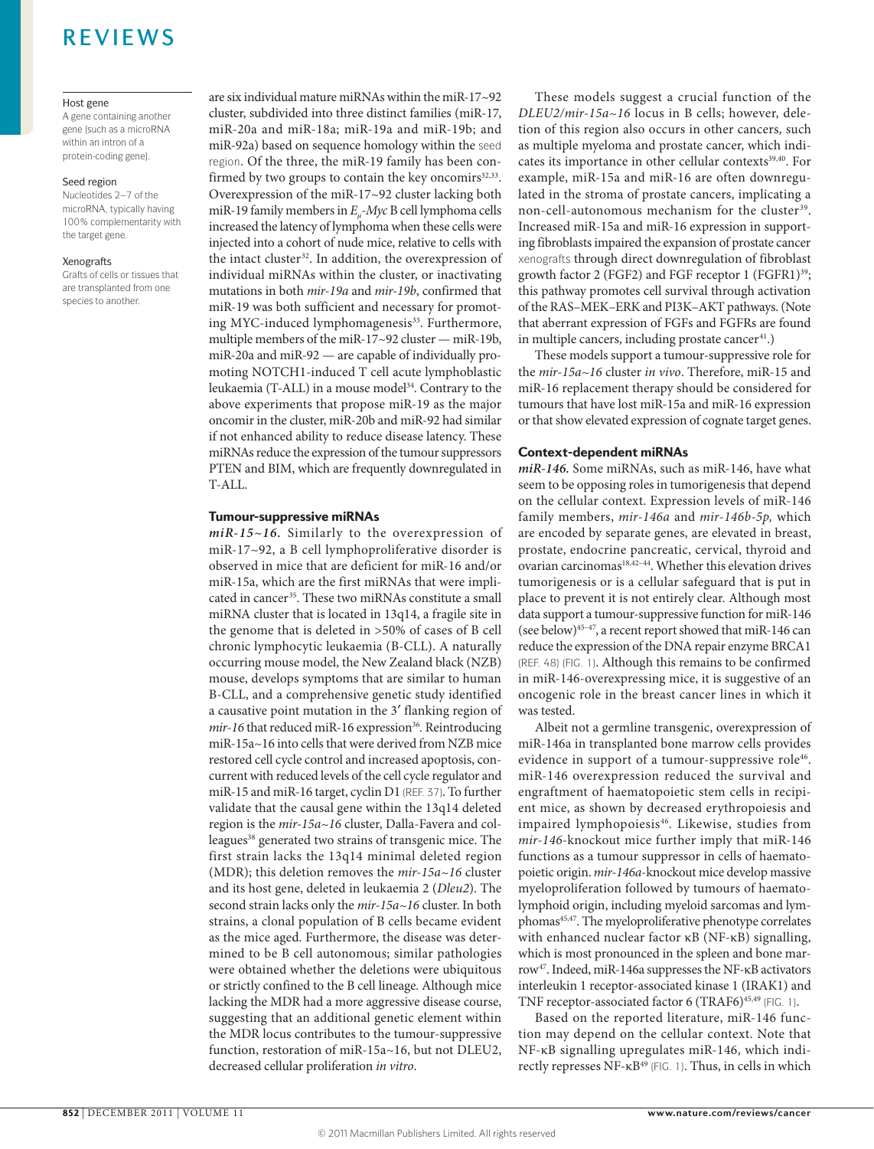#### Host gene

A gene containing another gene (such as a microRNA within an intron of a protein-coding gene).

#### Seed region

Nucleotides 2–7 of the microRNA, typically having 100% complementarity with the target gene.

#### Xenografts

Grafts of cells or tissues that are transplanted from one species to another.

are six individual mature miRNAs within the miR-17~92 cluster, subdivided into three distinct families (miR-17, miR-20a and miR-18a; miR-19a and miR-19b; and miR-92a) based on sequence homology within the seed region. Of the three, the miR-19 family has been confirmed by two groups to contain the key oncomirs $32,33$ . Overexpression of the miR-17~92 cluster lacking both miR-19 family members in *Eμ-Myc* B cell lymphoma cells increased the latency of lymphoma when these cells were injected into a cohort of nude mice, relative to cells with the intact cluster<sup>32</sup>. In addition, the overexpression of individual miRNAs within the cluster, or inactivating mutations in both *mir‑19a* and *mir‑19b*, confirmed that miR-19 was both sufficient and necessary for promoting MYC-induced lymphomagenesis<sup>33</sup>. Furthermore, multiple members of the miR-17~92 cluster — miR-19b, miR-20a and miR-92 — are capable of individually promoting NOTCH1-induced T cell acute lymphoblastic leukaemia (T-ALL) in a mouse model<sup>34</sup>. Contrary to the above experiments that propose miR-19 as the major oncomir in the cluster, miR-20b and miR-92 had similar if not enhanced ability to reduce disease latency. These miRNAs reduce the expression of the tumour suppressors PTEN and BIM, which are frequently downregulated in T-ALL.

# Tumour-suppressive miRNAs

*miR‑15~16.* Similarly to the overexpression of miR-17~92, a B cell lymphoproliferative disorder is observed in mice that are deficient for miR-16 and/or miR-15a, which are the first miRNAs that were implicated in cancer<sup>35</sup>. These two miRNAs constitute a small miRNA cluster that is located in 13q14, a fragile site in the genome that is deleted in >50% of cases of B cell chronic lymphocytic leukaemia (B-CLL). A naturally occurring mouse model, the New Zealand black (NZB) mouse, develops symptoms that are similar to human B-CLL, and a comprehensive genetic study identified a causative point mutation in the 3′ flanking region of *mir-16* that reduced miR-16 expression<sup>36</sup>. Reintroducing miR-15a~16 into cells that were derived from NZB mice restored cell cycle control and increased apoptosis, concurrent with reduced levels of the cell cycle regulator and miR-15 and miR-16 target, cyclin D1 (REF. 37). To further validate that the causal gene within the 13q14 deleted region is the *mir‑15a~16* cluster, Dalla-Favera and colleagues<sup>38</sup> generated two strains of transgenic mice. The first strain lacks the 13q14 minimal deleted region (MDR); this deletion removes the *mir‑15a~16* cluster and its host gene, deleted in leukaemia 2 (*Dleu2*). The second strain lacks only the  $mir-15a-16$  cluster. In both strains, a clonal population of B cells became evident as the mice aged. Furthermore, the disease was determined to be B cell autonomous; similar pathologies were obtained whether the deletions were ubiquitous or strictly confined to the B cell lineage. Although mice lacking the MDR had a more aggressive disease course, suggesting that an additional genetic element within the MDR locus contributes to the tumour-suppressive function, restoration of miR-15a~16, but not DLEU2, decreased cellular proliferation *in vitro*.

These models suggest a crucial function of the *DLEU2/mir‑15a~16* locus in B cells; however, deletion of this region also occurs in other cancers, such as multiple myeloma and prostate cancer, which indicates its importance in other cellular contexts<sup>39,40</sup>. For example, miR-15a and miR-16 are often downregulated in the stroma of prostate cancers, implicating a non-cell-autonomous mechanism for the cluster<sup>39</sup>. Increased miR-15a and miR-16 expression in supporting fibroblasts impaired the expansion of prostate cancer xenografts through direct downregulation of fibroblast growth factor 2 (FGF2) and FGF receptor 1 (FGFR1)<sup>39</sup>; this pathway promotes cell survival through activation of the RAS–MEK–ERK and PI3K–AKT pathways. (Note that aberrant expression of FGFs and FGFRs are found in multiple cancers, including prostate cancer<sup>41</sup>.)

These models support a tumour-suppressive role for the *mir‑15a~16* cluster *in vivo*. Therefore, miR-15 and miR-16 replacement therapy should be considered for tumours that have lost miR-15a and miR-16 expression or that show elevated expression of cognate target genes.

# Context-dependent miRNAs

*miR‑146.* Some miRNAs, such as miR-146, have what seem to be opposing roles in tumorigenesis that depend on the cellular context. Expression levels of miR-146 family members, *mir‑146a* and *mir‑146b‑5p,* which are encoded by separate genes, are elevated in breast, prostate, endocrine pancreatic, cervical, thyroid and ovarian carcinomas<sup>18,42-44</sup>. Whether this elevation drives tumorigenesis or is a cellular safeguard that is put in place to prevent it is not entirely clear. Although most data support a tumour-suppressive function for miR-146 (see below)45–47 , a recent report showed that miR-146 can reduce the expression of the DNA repair enzyme BRCA1 (REF. 48) (FIG. 1). Although this remains to be confirmed in miR-146-overexpressing mice, it is suggestive of an oncogenic role in the breast cancer lines in which it was tested.

Albeit not a germline transgenic, overexpression of miR-146a in transplanted bone marrow cells provides evidence in support of a tumour-suppressive role<sup>46</sup>. miR-146 overexpression reduced the survival and engraftment of haematopoietic stem cells in recipient mice, as shown by decreased erythropoiesis and impaired lymphopoiesis<sup>46</sup>. Likewise, studies from *mir‑146‑*knockout mice further imply that miR-146 functions as a tumour suppressor in cells of haematopoietic origin. *mir‑146a*-knockout mice develop massive myeloproliferation followed by tumours of haematolymphoid origin, including myeloid sarcomas and lymphomas<sup>45,47</sup>. The myeloproliferative phenotype correlates with enhanced nuclear factor κB (NF-κB) signalling, which is most pronounced in the spleen and bone marrow47. Indeed, miR-146a suppresses the NF-κB activators interleukin 1 receptor-associated kinase 1 (IRAK1) and TNF receptor-associated factor 6 (TRAF6)<sup>45,49</sup> (FIG. 1).

Based on the reported literature, miR-146 function may depend on the cellular context. Note that NF-κB signalling upregulates miR-146, which indirectly represses NF-κB<sup>49</sup> (FIG. 1). Thus, in cells in which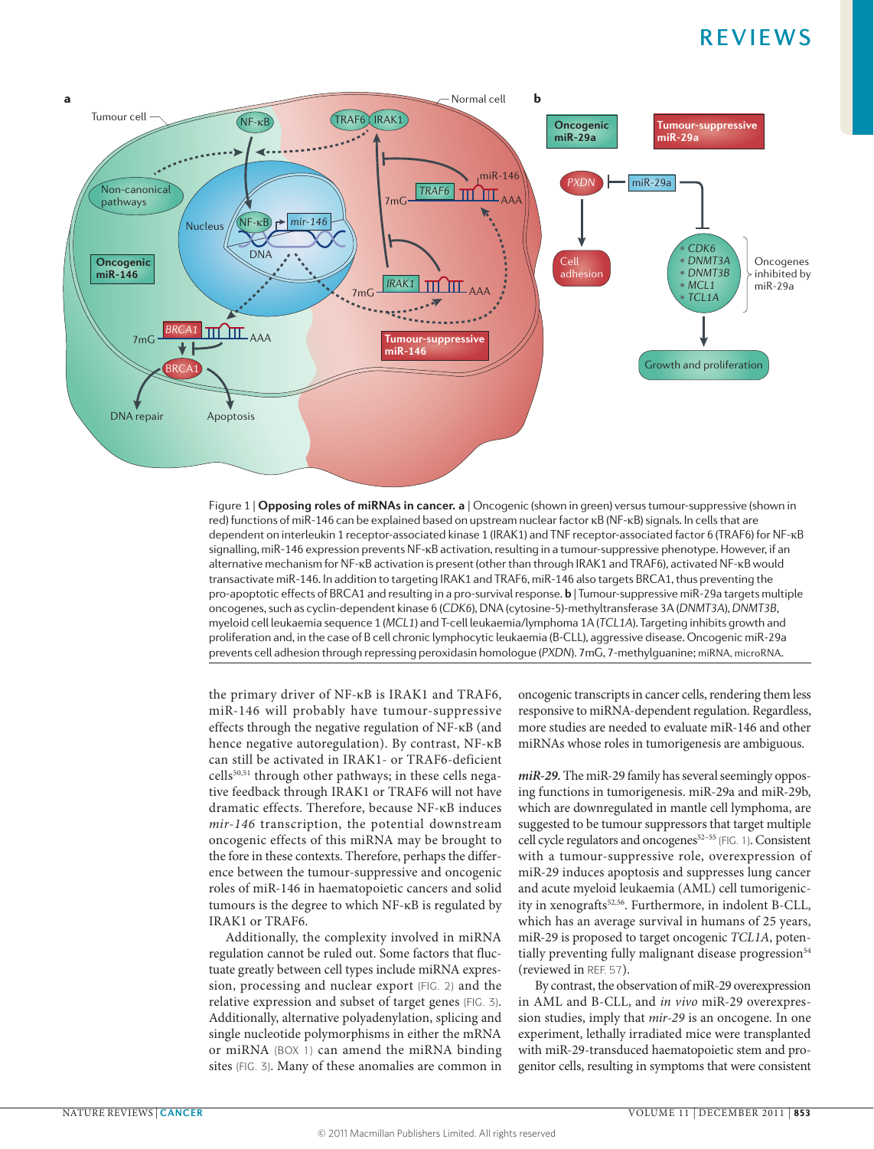

**Nature Reviews of this-1+0 can be explained based on upstream nuclear factor <b>RD** (NT-RD) signals. In cetts that are<br>dependent on interleukin 1 receptor-associated kinase 1 (IRAK1) and TNF receptor-associated factor 6 (T Figure 1 | **Opposing roles of miRNAs in cancer. a** | Oncogenic (shown in green) versus tumour-suppressive (shown in red) functions of miR-146 can be explained based on upstream nuclear factor κB (NF-κB) signals. In cells that are signalling, miR-146 expression prevents NF-κB activation, resulting in a tumour-suppressive phenotype. However, if an alternative mechanism for NF-κB activation is present (other than through IRAK1 and TRAF6), activated NF-κB would transactivate miR-146. In addition to targeting IRAK1 and TRAF6, miR-146 also targets BRCA1, thus preventing the pro-apoptotic effects of BRCA1 and resulting in a pro-survival response. **b** | Tumour-suppressive miR-29a targets multiple oncogenes, such as cyclin-dependent kinase 6 (*CDK6*), DNA (cytosine-5)-methyltransferase 3A (*DNMT3A*), *DNMT3B*, myeloid cell leukaemia sequence 1 (*MCL1*) and T-cell leukaemia/lymphoma 1A (*TCL1A*). Targeting inhibits growth and proliferation and, in the case of B cell chronic lymphocytic leukaemia (B-CLL), aggressive disease. Oncogenic miR-29a prevents cell adhesion through repressing peroxidasin homologue (*PXDN*). 7mG, 7-methylguanine; miRNA, microRNA.

the primary driver of NF-κB is IRAK1 and TRAF6, miR-146 will probably have tumour-suppressive effects through the negative regulation of NF-κB (and hence negative autoregulation). By contrast, NF-κB can still be activated in IRAK1- or TRAF6-deficient cells50,51 through other pathways; in these cells negative feedback through IRAK1 or TRAF6 will not have dramatic effects. Therefore, because NF-κB induces *mir‑146* transcription, the potential downstream oncogenic effects of this miRNA may be brought to the fore in these contexts. Therefore, perhaps the difference between the tumour-suppressive and oncogenic roles of miR-146 in haematopoietic cancers and solid tumours is the degree to which NF-κB is regulated by IRAK1 or TRAF6.

Additionally, the complexity involved in miRNA regulation cannot be ruled out. Some factors that fluctuate greatly between cell types include miRNA expression, processing and nuclear export (FIG. 2) and the relative expression and subset of target genes (FIG. 3). Additionally, alternative polyadenylation, splicing and single nucleotide polymorphisms in either the mRNA or miRNA (BOX 1) can amend the miRNA binding sites (FIG. 3). Many of these anomalies are common in oncogenic transcripts in cancer cells, rendering them less responsive to miRNA-dependent regulation. Regardless, more studies are needed to evaluate miR-146 and other miRNAs whose roles in tumorigenesis are ambiguous.

*miR‑29.* The miR-29 family has several seemingly opposing functions in tumorigenesis. miR-29a and miR-29b, which are downregulated in mantle cell lymphoma, are suggested to be tumour suppressors that target multiple cell cycle regulators and oncogenes<sup>52-55</sup> (FIG. 1). Consistent with a tumour-suppressive role, overexpression of miR-29 induces apoptosis and suppresses lung cancer and acute myeloid leukaemia (AML) cell tumorigenicity in xenografts<sup>52,56</sup>. Furthermore, in indolent B-CLL, which has an average survival in humans of 25 years, miR-29 is proposed to target oncogenic *TCL1A*, potentially preventing fully malignant disease progression<sup>54</sup> (reviewed in REF. 57).

By contrast, the observation of miR-29 overexpression in AML and B-CLL, and *in vivo* miR-29 overexpression studies, imply that *mir‑29* is an oncogene. In one experiment, lethally irradiated mice were transplanted with miR-29-transduced haematopoietic stem and progenitor cells, resulting in symptoms that were consistent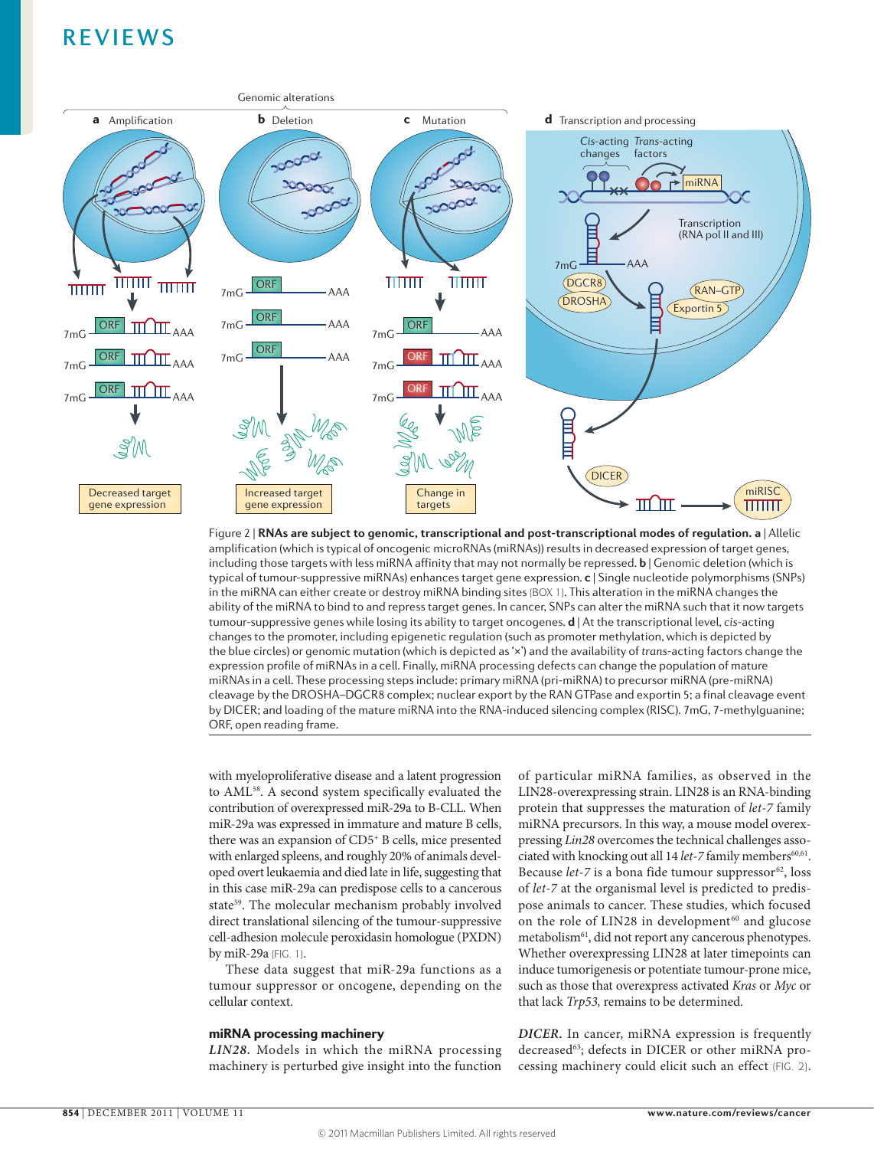

amplification (which is typical of oncogenic microRNAs (miRNAs)) results in decreased expression of target genes, Figure 2 | **RNAs are subject to genomic, transcriptional and post-transcriptional modes of regulation. a** | Allelic including those targets with less miRNA affinity that may not normally be repressed. **b** | Genomic deletion (which is typical of tumour-suppressive miRNAs) enhances target gene expression. **c** | Single nucleotide polymorphisms (SNPs) in the miRNA can either create or destroy miRNA binding sites (BOX 1). This alteration in the miRNA changes the ability of the miRNA to bind to and repress target genes. In cancer, SNPs can alter the miRNA such that it now targets tumour-suppressive genes while losing its ability to target oncogenes. **d** | At the transcriptional level, *cis*-acting changes to the promoter, including epigenetic regulation (such as promoter methylation, which is depicted by the blue circles) or genomic mutation (which is depicted as '×') and the availability of *trans*-acting factors change the expression profile of miRNAs in a cell. Finally, miRNA processing defects can change the population of mature miRNAs in a cell. These processing steps include: primary miRNA (pri-miRNA) to precursor miRNA (pre-miRNA) cleavage by the DROSHA–DGCR8 complex; nuclear export by the RAN GTPase and exportin 5; a final cleavage event by DICER; and loading of the mature miRNA into the RNA-induced silencing complex (RISC). 7mG, 7-methylguanine; ORF, open reading frame.

with myeloproliferative disease and a latent progression to AML58. A second system specifically evaluated the contribution of overexpressed miR-29a to B-CLL. When miR-29a was expressed in immature and mature B cells, there was an expansion of CD5+ B cells, mice presented with enlarged spleens, and roughly 20% of animals developed overt leukaemia and died late in life, suggesting that in this case miR-29a can predispose cells to a cancerous state<sup>59</sup>. The molecular mechanism probably involved direct translational silencing of the tumour-suppressive cell-adhesion molecule peroxidasin homologue (PXDN) by miR-29a (FIG. 1).

These data suggest that miR-29a functions as a tumour suppressor or oncogene, depending on the cellular context.

# miRNA processing machinery

*LIN28.* Models in which the miRNA processing machinery is perturbed give insight into the function of particular miRNA families, as observed in the LIN28-overexpressing strain. LIN28 is an RNA-binding protein that suppresses the maturation of *let‑7* family miRNA precursors. In this way, a mouse model overexpressing *Lin28* overcomes the technical challenges associated with knocking out all 14 *let*-7 family members<sup>60,61</sup>. Because *let-7* is a bona fide tumour suppressor<sup>62</sup>, loss of *let‑7* at the organismal level is predicted to predispose animals to cancer. These studies, which focused on the role of LIN28 in development<sup>60</sup> and glucose metabolism<sup>61</sup>, did not report any cancerous phenotypes. Whether overexpressing LIN28 at later timepoints can induce tumorigenesis or potentiate tumour-prone mice, such as those that overexpress activated *Kras* or *Myc* or that lack *Trp53,* remains to be determined.

*DICER.* In cancer, miRNA expression is frequently decreased<sup>63</sup>; defects in DICER or other miRNA processing machinery could elicit such an effect (FIG. 2).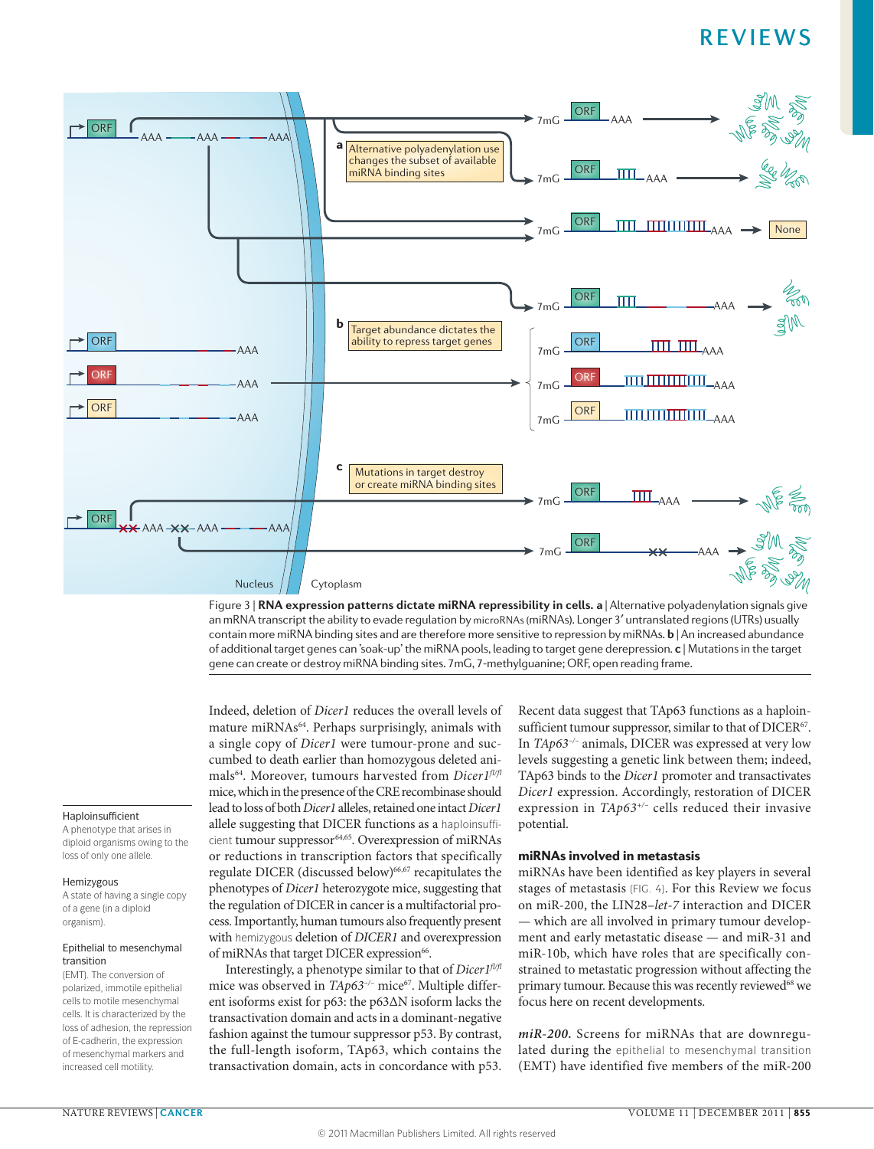

**Nature Reviews** | **Cancer** Figure 3 | **RNA expression patterns dictate miRNA repressibility in cells. a** | Alternative polyadenylation signals give an mRNA transcript the ability to evade regulation by microRNAs (miRNAs). Longer 3′ untranslated regions (UTRs) usually contain more miRNA binding sites and are therefore more sensitive to repression by miRNAs. **b** | An increased abundance of additional target genes can 'soak-up' the miRNA pools, leading to target gene derepression. **c** | Mutations in the target gene can create or destroy miRNA binding sites. 7mG, 7-methylguanine; ORF, open reading frame.

### Haploinsufficient

A phenotype that arises in diploid organisms owing to the loss of only one allele.

#### Hemizygous

A state of having a single copy of a gene (in a diploid organism).

## Epithelial to mesenchymal transition

(EMT). The conversion of polarized, immotile epithelial cells to motile mesenchymal cells. It is characterized by the loss of adhesion, the repression of E‑cadherin, the expression of mesenchymal markers and increased cell motility.

Indeed, deletion of *Dicer1* reduces the overall levels of mature miRNAs64. Perhaps surprisingly, animals with a single copy of *Dicer1* were tumour-prone and succumbed to death earlier than homozygous deleted animals64. Moreover, tumours harvested from *Dicer1fl/fl* mice, which in the presence of the CRE recombinase should lead to loss of both *Dicer1* alleles, retained one intact *Dicer1* allele suggesting that DICER functions as a haploinsufficient tumour suppressor<sup>64,65</sup>. Overexpression of miRNAs or reductions in transcription factors that specifically regulate DICER (discussed below)<sup>66,67</sup> recapitulates the phenotypes of *Dicer1* heterozygote mice, suggesting that the regulation of DICER in cancer is a multifactorial process. Importantly, human tumours also frequently present with hemizygous deletion of *DICER1* and overexpression of miRNAs that target DICER expression<sup>66</sup>.

Interestingly, a phenotype similar to that of *Dicer1fl/fl* mice was observed in *TAp63<sup>-/-</sup>* mice<sup>67</sup>. Multiple different isoforms exist for p63: the p63ΔN isoform lacks the transactivation domain and acts in a dominant-negative fashion against the tumour suppressor p53. By contrast, the full-length isoform, TAp63, which contains the transactivation domain, acts in concordance with p53.

Recent data suggest that TAp63 functions as a haploinsufficient tumour suppressor, similar to that of DICER<sup>67</sup>. In *TAp63–/–* animals, DICER was expressed at very low levels suggesting a genetic link between them; indeed, TAp63 binds to the *Dicer1* promoter and transactivates *Dicer1* expression. Accordingly, restoration of DICER expression in *TAp63+/–* cells reduced their invasive potential.

# miRNAs involved in metastasis

miRNAs have been identified as key players in several stages of metastasis (FIG. 4). For this Review we focus on miR-200, the LIN28–*let‑7* interaction and DICER — which are all involved in primary tumour development and early metastatic disease — and miR-31 and miR-10b, which have roles that are specifically constrained to metastatic progression without affecting the primary tumour. Because this was recently reviewed<sup>68</sup> we focus here on recent developments.

*miR‑200.* Screens for miRNAs that are downregulated during the epithelial to mesenchymal transition (EMT) have identified five members of the miR-200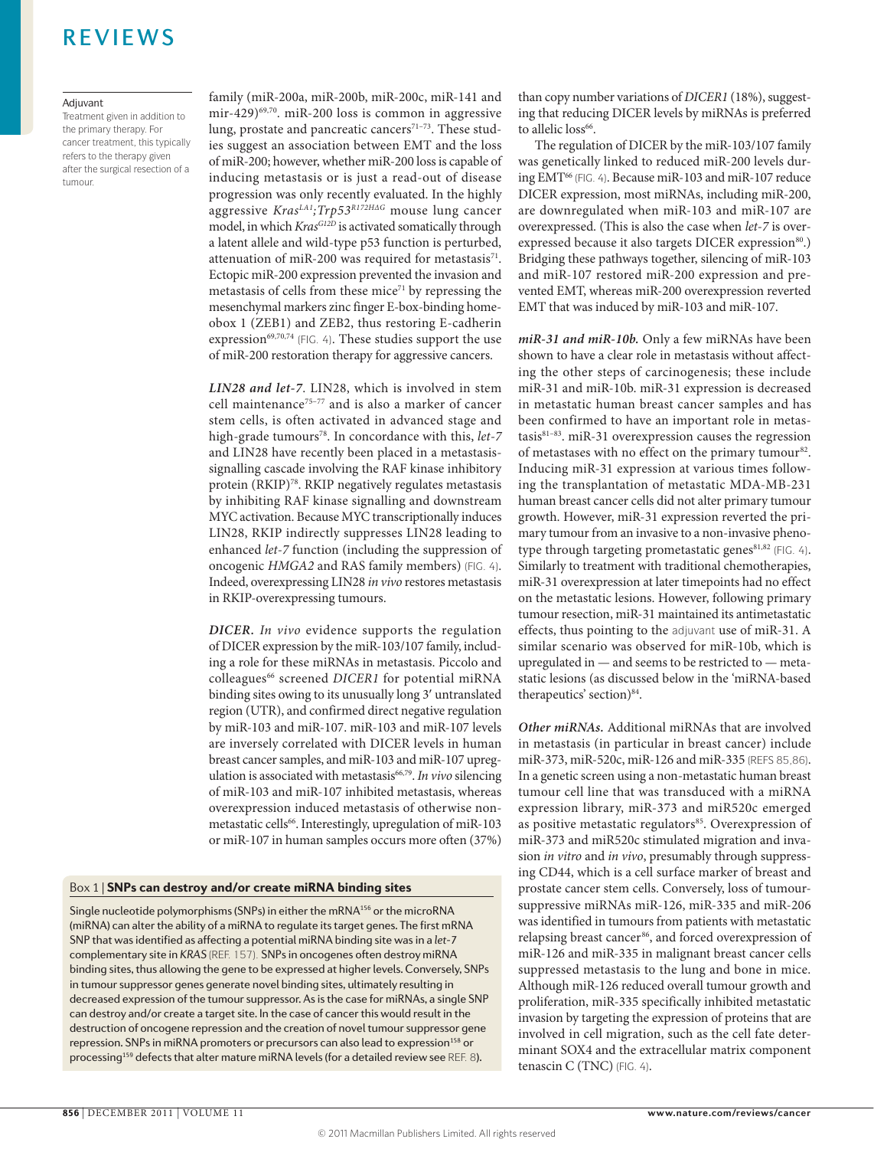### Adjuvant

Treatment given in addition to the primary therapy. For cancer treatment, this typically refers to the therapy given after the surgical resection of a tumour.

family (miR-200a, miR-200b, miR-200c, miR-141 and mir-429) $69,70$ . miR-200 loss is common in aggressive lung, prostate and pancreatic cancers<sup>71-73</sup>. These studies suggest an association between EMT and the loss of miR-200; however, whether miR-200 loss is capable of inducing metastasis or is just a read-out of disease progression was only recently evaluated. In the highly aggressive *KrasLA1;Trp53R172HΔG* mouse lung cancer model, in which *KrasG12D* is activated somatically through a latent allele and wild-type p53 function is perturbed, attenuation of miR-200 was required for metastasis $^{71}$ . Ectopic miR-200 expression prevented the invasion and metastasis of cells from these mice<sup>71</sup> by repressing the mesenchymal markers zinc finger E-box-binding homeobox 1 (ZEB1) and ZEB2, thus restoring E-cadherin expression<sup>69,70,74</sup> (FIG. 4). These studies support the use of miR-200 restoration therapy for aggressive cancers.

*LIN28 and let‑7*. LIN28, which is involved in stem cell maintenance<sup>75-77</sup> and is also a marker of cancer stem cells, is often activated in advanced stage and high-grade tumours<sup>78</sup>. In concordance with this, *let-7* and LIN28 have recently been placed in a metastasissignalling cascade involving the RAF kinase inhibitory protein (RKIP)<sup>78</sup>. RKIP negatively regulates metastasis by inhibiting RAF kinase signalling and downstream MYC activation. Because MYC transcriptionally induces LIN28, RKIP indirectly suppresses LIN28 leading to enhanced *let-7* function (including the suppression of oncogenic *HMGA2* and RAS family members) (FIG. 4). Indeed, overexpressing LIN28 *in vivo* restores metastasis in RKIP-overexpressing tumours.

*DICER. In vivo* evidence supports the regulation of DICER expression by the miR-103/107 family, including a role for these miRNAs in metastasis. Piccolo and colleagues<sup>66</sup> screened *DICER1* for potential miRNA binding sites owing to its unusually long 3′ untranslated region (UTR), and confirmed direct negative regulation by miR-103 and miR-107. miR-103 and miR-107 levels are inversely correlated with DICER levels in human breast cancer samples, and miR-103 and miR-107 upregulation is associated with metastasis<sup>66,79</sup>. *In vivo* silencing of miR-103 and miR-107 inhibited metastasis, whereas overexpression induced metastasis of otherwise nonmetastatic cells<sup>66</sup>. Interestingly, upregulation of miR-103 or miR-107 in human samples occurs more often (37%)

### Box 1 | SNPs can destroy and/or create miRNA binding sites

Single nucleotide polymorphisms (SNPs) in either the mRNA<sup>156</sup> or the microRNA (miRNA) can alter the ability of a miRNA to regulate its target genes. The first mRNA SNP that wasidentified as affecting a potential miRNA binding site wasin a *let‑7* complementary site in *KRAS* (REF. 157). SNPsin oncogenes often destroy miRNA binding sites, thus allowing the gene to be expressed at higher levels. Conversely, SNPs in tumour suppressor genes generate novel binding sites, ultimately resulting in decreased expression of the tumour suppressor. As is the case for miRNAs, a single SNP can destroy and/or create a target site. In the case of cancer this would result in the destruction of oncogene repression and the creation of novel tumour suppressor gene repression. SNPs in miRNA promoters or precursors can also lead to expression<sup>158</sup> or processing<sup>159</sup> defects that alter mature miRNA levels (for a detailed review see REF. 8).

than copy number variations of *DICER1* (18%), suggesting that reducing DICER levels by miRNAs is preferred to allelic loss<sup>66</sup>.

The regulation of DICER by the miR-103/107 family was genetically linked to reduced miR-200 levels during EMT<sup>66</sup> (FIG. 4). Because miR-103 and miR-107 reduce DICER expression, most miRNAs, including miR-200, are downregulated when miR-103 and miR-107 are overexpressed. (This is also the case when *let‑7* is overexpressed because it also targets DICER expression<sup>80</sup>.) Bridging these pathways together, silencing of miR-103 and miR-107 restored miR-200 expression and prevented EMT, whereas miR-200 overexpression reverted EMT that was induced by miR-103 and miR-107.

*miR‑31 and miR-10b.* Only a few miRNAs have been shown to have a clear role in metastasis without affecting the other steps of carcinogenesis; these include miR-31 and miR-10b. miR-31 expression is decreased in metastatic human breast cancer samples and has been confirmed to have an important role in metastasis $81-83$ . miR-31 overexpression causes the regression of metastases with no effect on the primary tumour<sup>82</sup>. Inducing miR-31 expression at various times following the transplantation of metastatic MDA-MB-231 human breast cancer cells did not alter primary tumour growth. However, miR-31 expression reverted the primary tumour from an invasive to a non-invasive phenotype through targeting prometastatic genes<sup>81,82</sup> (FIG. 4). Similarly to treatment with traditional chemotherapies, miR-31 overexpression at later timepoints had no effect on the metastatic lesions. However, following primary tumour resection, miR-31 maintained its antimetastatic effects, thus pointing to the adjuvant use of miR-31. A similar scenario was observed for miR-10b, which is upregulated in — and seems to be restricted to — metastatic lesions (as discussed below in the 'miRNA-based therapeutics' section)<sup>84</sup>.

*Other miRNAs.* Additional miRNAs that are involved in metastasis (in particular in breast cancer) include miR-373, miR-520c, miR-126 and miR-335 (REFS 85,86). In a genetic screen using a non-metastatic human breast tumour cell line that was transduced with a miRNA expression library, miR-373 and miR520c emerged as positive metastatic regulators<sup>85</sup>. Overexpression of miR-373 and miR520c stimulated migration and invasion *in vitro* and *in vivo*, presumably through suppressing CD44, which is a cell surface marker of breast and prostate cancer stem cells. Conversely, loss of tumoursuppressive miRNAs miR-126, miR-335 and miR-206 was identified in tumours from patients with metastatic relapsing breast cancer<sup>86</sup>, and forced overexpression of miR-126 and miR-335 in malignant breast cancer cells suppressed metastasis to the lung and bone in mice. Although miR-126 reduced overall tumour growth and proliferation, miR-335 specifically inhibited metastatic invasion by targeting the expression of proteins that are involved in cell migration, such as the cell fate determinant SOX4 and the extracellular matrix component tenascin C (TNC) (FIG. 4).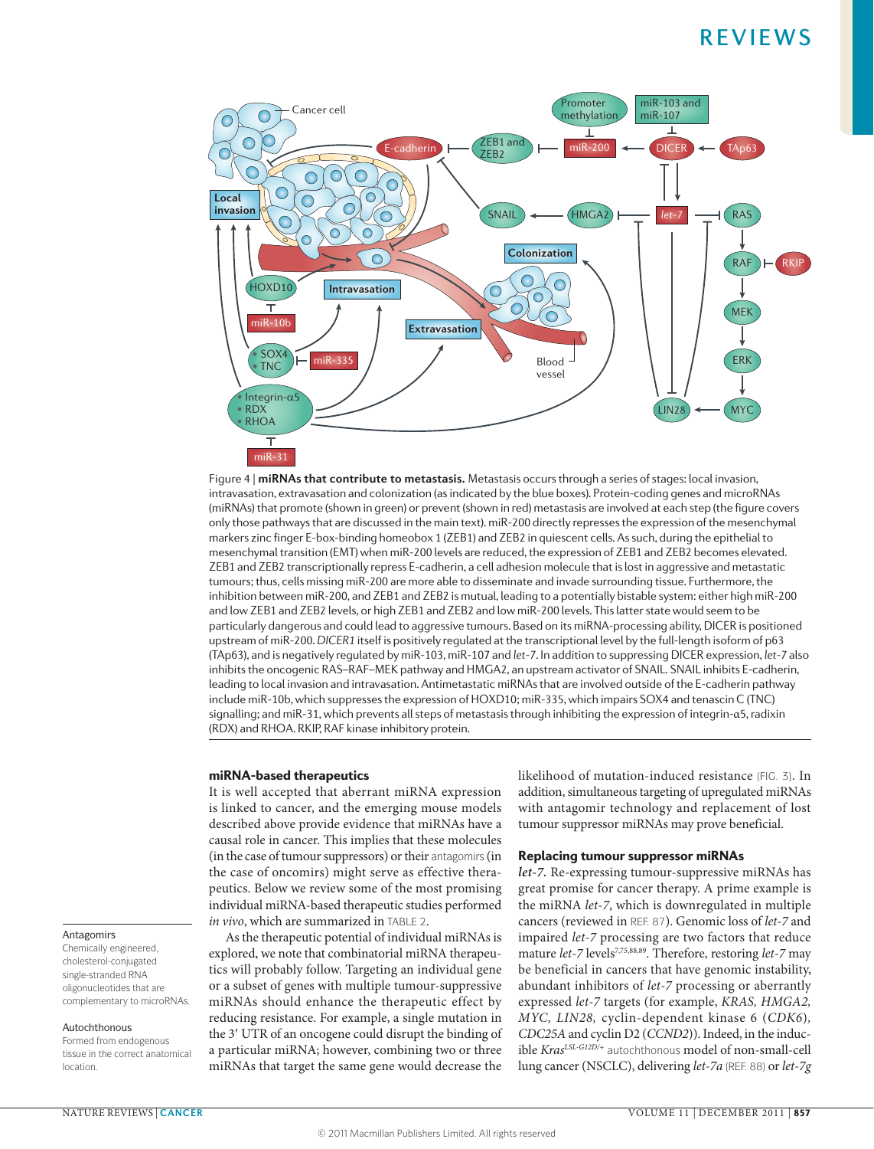

**Nature Reviews** | **Cancer** Figure 4 | **miRNAs that contribute to metastasis.** Metastasis occurs through a series of stages: local invasion, intravasation, extravasation and colonization (as indicated by the blue boxes). Protein-coding genes and microRNAs (miRNAs) that promote (shown in green) or prevent (shown in red) metastasis are involved at each step (the figure covers only those pathways that are discussed in the main text). miR-200 directly represses the expression of the mesenchymal markers zinc finger E-box-binding homeobox 1 (ZEB1) and ZEB2 in quiescent cells. As such, during the epithelial to mesenchymal transition (EMT) when miR-200 levels are reduced, the expression of ZEB1 and ZEB2 becomes elevated. ZEB1 and ZEB2 transcriptionally repress E-cadherin, a cell adhesion molecule that is lost in aggressive and metastatic tumours; thus, cells missing miR-200 are more able to disseminate and invade surrounding tissue. Furthermore, the inhibition between miR-200, and ZEB1 and ZEB2 is mutual, leading to a potentially bistable system: either high miR-200 and low ZEB1 and ZEB2 levels, or high ZEB1 and ZEB2 and low miR-200 levels. This latter state would seem to be particularly dangerous and could lead to aggressive tumours. Based on its miRNA-processing ability, DICER is positioned upstream of miR-200. *DICER1* itself is positively regulated at the transcriptional level by the full-length isoform of p63 (TAp63), and is negatively regulated by miR-103, miR-107 and *let‑7*. In addition to suppressing DICER expression, *let‑7* also inhibits the oncogenic RAS–RAF–MEK pathway and HMGA2, an upstream activator of SNAIL. SNAIL inhibits E-cadherin, leading to local invasion and intravasation. Antimetastatic miRNAs that are involved outside of the E-cadherin pathway include miR-10b, which suppresses the expression of HOXD10; miR-335, which impairs SOX4 and tenascin C (TNC) signalling; and miR-31, which prevents all steps of metastasis through inhibiting the expression of integrin-α5, radixin (RDX) and RHOA. RKIP, RAF kinase inhibitory protein.

### miRNA-based therapeutics

It is well accepted that aberrant miRNA expression is linked to cancer, and the emerging mouse models described above provide evidence that miRNAs have a causal role in cancer. This implies that these molecules (in the case of tumour suppressors) or their antagomirs (in the case of oncomirs) might serve as effective therapeutics. Below we review some of the most promising individual miRNA-based therapeutic studies performed *in vivo*, which are summarized in TABLE 2.

As the therapeutic potential of individual miRNAs is explored, we note that combinatorial miRNA therapeutics will probably follow. Targeting an individual gene or a subset of genes with multiple tumour-suppressive miRNAs should enhance the therapeutic effect by reducing resistance. For example, a single mutation in the 3′ UTR of an oncogene could disrupt the binding of a particular miRNA; however, combining two or three miRNAs that target the same gene would decrease the likelihood of mutation-induced resistance (FIG. 3). In addition, simultaneous targeting of upregulated miRNAs with antagomir technology and replacement of lost tumour suppressor miRNAs may prove beneficial.

### Replacing tumour suppressor miRNAs

*let‑7.* Re-expressing tumour-suppressive miRNAs has great promise for cancer therapy. A prime example is the miRNA *let‑7*, which is downregulated in multiple cancers (reviewed in REF. 87). Genomic loss of *let‑7* and impaired *let‑7* processing are two factors that reduce mature *let-7* levels<sup>7,75,88,89</sup>. Therefore, restoring *let-7* may be beneficial in cancers that have genomic instability, abundant inhibitors of *let‑7* processing or aberrantly expressed *let‑7* targets (for example, *KRAS, HMGA2, MYC, LIN28,* cyclin-dependent kinase 6 (*CDK6*)*, CDC25A* and cyclin D2 (*CCND2*)). Indeed, in the inducible *Kras<sup>LSL-G12D/+</sup>* autochthonous model of non-small-cell lung cancer (NSCLC), delivering *let‑7a* (REF. 88) or *let‑7g* 

# Antagomirs

Chemically engineered, cholesterol-conjugated single-stranded RNA oligonucleotides that are complementary to microRNAs.

#### Autochthonous

Formed from endogenous tissue in the correct anatomical location.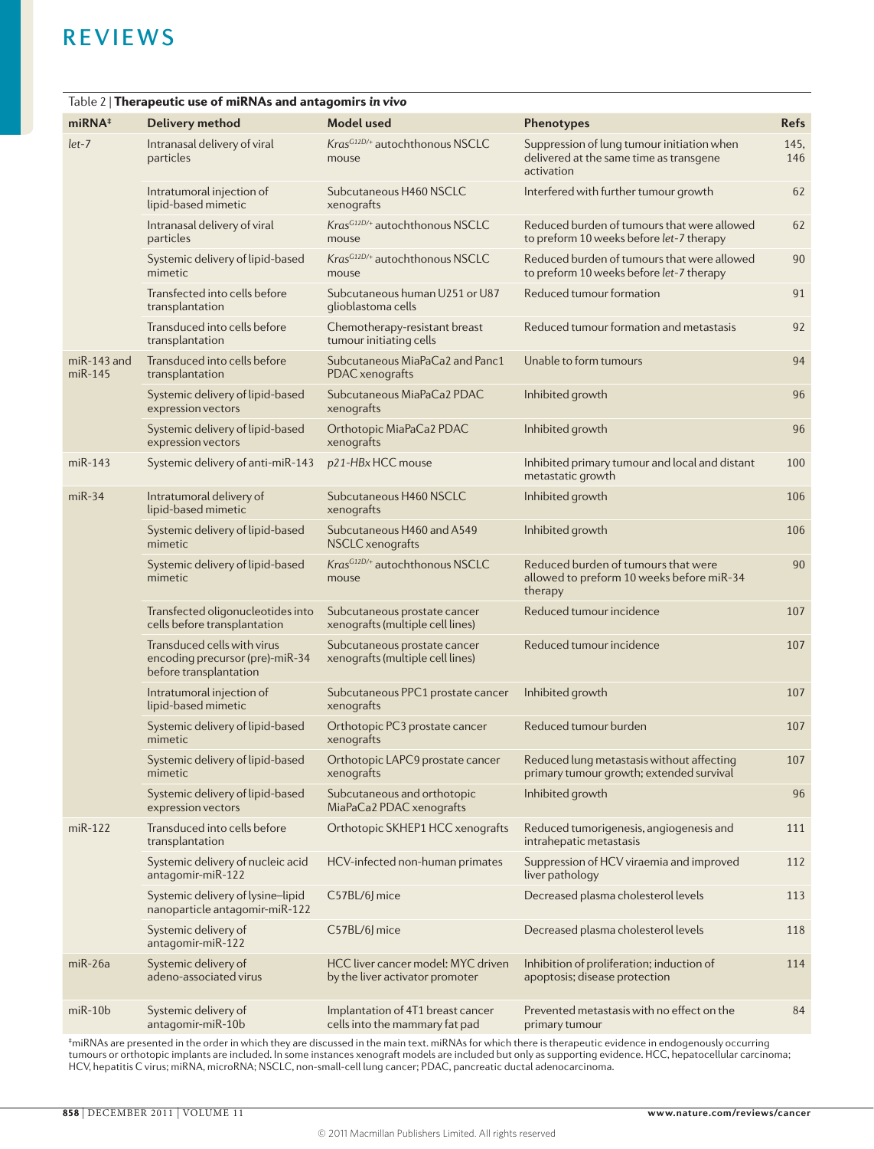| Table 2   Therapeutic use of miRNAs and antagomirs in vivo |                                                                                          |                                                                       |                                                                                                     |             |  |  |  |
|------------------------------------------------------------|------------------------------------------------------------------------------------------|-----------------------------------------------------------------------|-----------------------------------------------------------------------------------------------------|-------------|--|--|--|
| $m$ iRN $A$ <sup>#</sup>                                   | Delivery method                                                                          | Model used                                                            | Phenotypes                                                                                          | <b>Refs</b> |  |  |  |
| $let-7$                                                    | Intranasal delivery of viral<br>particles                                                | Kras <sup>G12D/+</sup> autochthonous NSCLC<br>mouse                   | Suppression of lung tumour initiation when<br>delivered at the same time as transgene<br>activation | 145,<br>146 |  |  |  |
|                                                            | Intratumoral injection of<br>lipid-based mimetic                                         | Subcutaneous H460 NSCLC<br>xenografts                                 | Interfered with further tumour growth                                                               | 62          |  |  |  |
|                                                            | Intranasal delivery of viral<br>particles                                                | Kras <sup>G12D/+</sup> autochthonous NSCLC<br>mouse                   | Reduced burden of tumours that were allowed<br>to preform 10 weeks before let-7 therapy             | 62          |  |  |  |
|                                                            | Systemic delivery of lipid-based<br>mimetic                                              | KrasG12D/+ autochthonous NSCLC<br>mouse                               | Reduced burden of tumours that were allowed<br>to preform 10 weeks before let-7 therapy             | 90          |  |  |  |
|                                                            | Transfected into cells before<br>transplantation                                         | Subcutaneous human U251 or U87<br>glioblastoma cells                  | Reduced tumour formation                                                                            | 91          |  |  |  |
|                                                            | Transduced into cells before<br>transplantation                                          | Chemotherapy-resistant breast<br>tumour initiating cells              | Reduced tumour formation and metastasis                                                             | 92          |  |  |  |
| miR-143 and<br>miR-145                                     | Transduced into cells before<br>transplantation                                          | Subcutaneous MiaPaCa2 and Panc1<br>PDAC xenografts                    | Unable to form tumours                                                                              | 94          |  |  |  |
|                                                            | Systemic delivery of lipid-based<br>expression vectors                                   | Subcutaneous MiaPaCa2 PDAC<br>xenografts                              | Inhibited growth                                                                                    | 96          |  |  |  |
|                                                            | Systemic delivery of lipid-based<br>expression vectors                                   | Orthotopic MiaPaCa2 PDAC<br>xenografts                                | Inhibited growth                                                                                    | 96          |  |  |  |
| $miR-143$                                                  | Systemic delivery of anti-miR-143                                                        | p21-HBx HCC mouse                                                     | Inhibited primary tumour and local and distant<br>metastatic growth                                 | 100         |  |  |  |
| $miR-34$                                                   | Intratumoral delivery of<br>lipid-based mimetic                                          | Subcutaneous H460 NSCLC<br>xenografts                                 | Inhibited growth                                                                                    | 106         |  |  |  |
|                                                            | Systemic delivery of lipid-based<br>mimetic                                              | Subcutaneous H460 and A549<br>NSCLC xenografts                        | Inhibited growth                                                                                    | 106         |  |  |  |
|                                                            | Systemic delivery of lipid-based<br>mimetic                                              | Kras <sup>G12D/+</sup> autochthonous NSCLC<br>mouse                   | Reduced burden of tumours that were<br>allowed to preform 10 weeks before miR-34<br>therapy         | 90          |  |  |  |
|                                                            | Transfected oligonucleotides into<br>cells before transplantation                        | Subcutaneous prostate cancer<br>xenografts (multiple cell lines)      | Reduced tumour incidence                                                                            | 107         |  |  |  |
|                                                            | Transduced cells with virus<br>encoding precursor (pre)-miR-34<br>before transplantation | Subcutaneous prostate cancer<br>xenografts (multiple cell lines)      | Reduced tumour incidence                                                                            | 107         |  |  |  |
|                                                            | Intratumoral injection of<br>lipid-based mimetic                                         | Subcutaneous PPC1 prostate cancer<br>xenografts                       | Inhibited growth                                                                                    | 107         |  |  |  |
|                                                            | Systemic delivery of lipid-based<br>mimetic                                              | Orthotopic PC3 prostate cancer<br>xenografts                          | Reduced tumour burden                                                                               | 107         |  |  |  |
|                                                            | Systemic delivery of lipid-based<br>mimetic                                              | Orthotopic LAPC9 prostate cancer<br>xenografts                        | Reduced lung metastasis without affecting<br>primary tumour growth; extended survival               | 107         |  |  |  |
|                                                            | Systemic delivery of lipid-based<br>expression vectors                                   | Subcutaneous and orthotopic<br>MiaPaCa2 PDAC xenografts               | Inhibited growth                                                                                    | 96          |  |  |  |
| $miR-122$                                                  | Transduced into cells before<br>transplantation                                          | Orthotopic SKHEP1 HCC xenografts                                      | Reduced tumorigenesis, angiogenesis and<br>intrahepatic metastasis                                  | 111         |  |  |  |
|                                                            | Systemic delivery of nucleic acid<br>antagomir-miR-122                                   | HCV-infected non-human primates                                       | Suppression of HCV viraemia and improved<br>liver pathology                                         | 112         |  |  |  |
|                                                            | Systemic delivery of lysine-lipid<br>nanoparticle antagomir-miR-122                      | C57BL/6J mice                                                         | Decreased plasma cholesterol levels                                                                 | 113         |  |  |  |
|                                                            | Systemic delivery of<br>antagomir-miR-122                                                | C57BL/6J mice                                                         | Decreased plasma cholesterol levels                                                                 | 118         |  |  |  |
| miR-26a                                                    | Systemic delivery of<br>adeno-associated virus                                           | HCC liver cancer model: MYC driven<br>by the liver activator promoter | Inhibition of proliferation; induction of<br>apoptosis; disease protection                          | 114         |  |  |  |
| $m$ i $R-10b$                                              | Systemic delivery of<br>antagomir-miR-10b                                                | Implantation of 4T1 breast cancer<br>cells into the mammary fat pad   | Prevented metastasis with no effect on the<br>primary tumour                                        | 84          |  |  |  |

‡miRNAs are presented in the order in which they are discussed in the main text. miRNAs for which there is therapeutic evidence in endogenously occurring<br>tumours or orthotopic implants are included. In some instances xenog HCV, hepatitis C virus; miRNA, microRNA; NSCLC, non-small-cell lung cancer; PDAC, pancreatic ductal adenocarcinoma.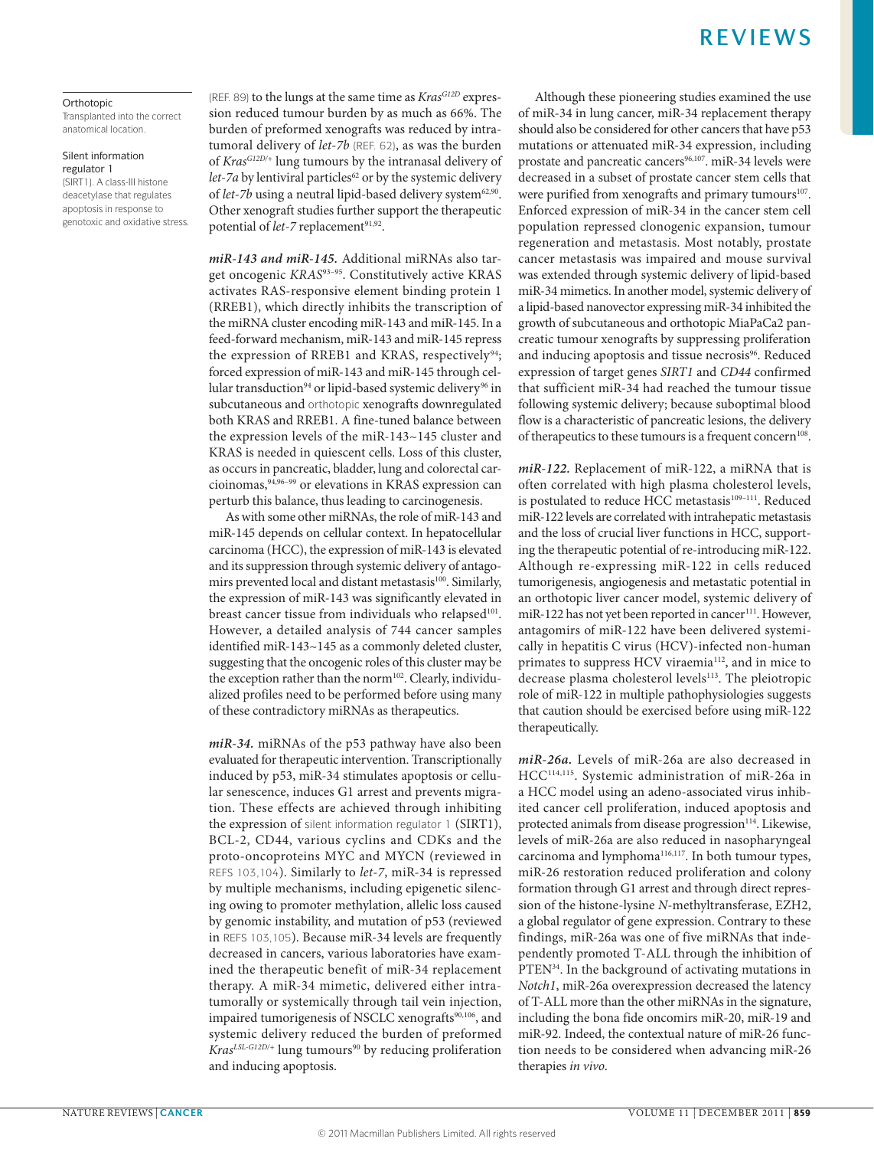# Orthotopic

Transplanted into the correct anatomical location.

Silent information regulator 1 (SIRT1). A class-III histone deacetylase that regulates apoptosis in response to genotoxic and oxidative stress. (REF. 89) to the lungs at the same time as *KrasG12D* expression reduced tumour burden by as much as 66%. The burden of preformed xenografts was reduced by intratumoral delivery of *let‑7b* (REF. 62), as was the burden of *KrasG12D/+* lung tumours by the intranasal delivery of *let-7a* by lentiviral particles<sup>62</sup> or by the systemic delivery of let-7b using a neutral lipid-based delivery system<sup>62,90</sup>. Other xenograft studies further support the therapeutic potential of *let*-7 replacement<sup>91,92</sup>.

*miR‑143 and miR‑145.* Additional miRNAs also target oncogenic *KRAS*93–95. Constitutively active KRAS activates RAS-responsive element binding protein 1 (RREB1), which directly inhibits the transcription of the miRNA cluster encoding miR-143 and miR-145. In a feed-forward mechanism, miR-143 and miR-145 repress the expression of RREB1 and KRAS, respectively<sup>94</sup>; forced expression of miR-143 and miR-145 through cellular transduction<sup>94</sup> or lipid-based systemic delivery<sup>96</sup> in subcutaneous and orthotopic xenografts downregulated both KRAS and RREB1. A fine-tuned balance between the expression levels of the miR-143~145 cluster and KRAS is needed in quiescent cells. Loss of this cluster, as occurs in pancreatic, bladder, lung and colorectal carcioinomas,94,96–99 or elevations in KRAS expression can perturb this balance, thus leading to carcinogenesis.

As with some other miRNAs, the role of miR-143 and miR-145 depends on cellular context. In hepatocellular carcinoma (HCC), the expression of miR-143 is elevated and its suppression through systemic delivery of antagomirs prevented local and distant metastasis<sup>100</sup>. Similarly, the expression of miR-143 was significantly elevated in breast cancer tissue from individuals who relapsed<sup>101</sup>. However, a detailed analysis of 744 cancer samples identified miR-143~145 as a commonly deleted cluster, suggesting that the oncogenic roles of this cluster may be the exception rather than the norm<sup>102</sup>. Clearly, individualized profiles need to be performed before using many of these contradictory miRNAs as therapeutics.

*miR‑34.* miRNAs of the p53 pathway have also been evaluated for therapeutic intervention. Transcriptionally induced by p53, miR-34 stimulates apoptosis or cellular senescence, induces G1 arrest and prevents migration. These effects are achieved through inhibiting the expression of silent information regulator 1 (SIRT1), BCL-2, CD44, various cyclins and CDKs and the proto-oncoproteins MYC and MYCN (reviewed in REFS 103,104). Similarly to *let‑7*, miR-34 is repressed by multiple mechanisms, including epigenetic silencing owing to promoter methylation, allelic loss caused by genomic instability, and mutation of p53 (reviewed in REFS 103,105). Because miR-34 levels are frequently decreased in cancers, various laboratories have examined the therapeutic benefit of miR-34 replacement therapy. A miR-34 mimetic, delivered either intratumorally or systemically through tail vein injection, impaired tumorigenesis of NSCLC xenografts<sup>90,106</sup>, and systemic delivery reduced the burden of preformed *Kras<sup>LSL-G12D/+</sup>* lung tumours<sup>90</sup> by reducing proliferation and inducing apoptosis.

Although these pioneering studies examined the use of miR-34 in lung cancer, miR-34 replacement therapy should also be considered for other cancers that have p53 mutations or attenuated miR-34 expression, including prostate and pancreatic cancers<sup>96,107</sup>. miR-34 levels were decreased in a subset of prostate cancer stem cells that were purified from xenografts and primary tumours<sup>107</sup>. Enforced expression of miR-34 in the cancer stem cell population repressed clonogenic expansion, tumour regeneration and metastasis. Most notably, prostate cancer metastasis was impaired and mouse survival was extended through systemic delivery of lipid-based miR-34 mimetics. In another model, systemic delivery of a lipid-based nanovector expressing miR-34 inhibited the growth of subcutaneous and orthotopic MiaPaCa2 pancreatic tumour xenografts by suppressing proliferation and inducing apoptosis and tissue necrosis<sup>96</sup>. Reduced expression of target genes *SIRT1* and *CD44* confirmed that sufficient miR-34 had reached the tumour tissue following systemic delivery; because suboptimal blood flow is a characteristic of pancreatic lesions, the delivery of therapeutics to these tumours is a frequent concern<sup>108</sup>.

*miR‑122.* Replacement of miR-122, a miRNA that is often correlated with high plasma cholesterol levels, is postulated to reduce HCC metastasis<sup>109-111</sup>. Reduced miR-122 levels are correlated with intrahepatic metastasis and the loss of crucial liver functions in HCC, supporting the therapeutic potential of re-introducing miR-122. Although re-expressing miR-122 in cells reduced tumorigenesis, angiogenesis and metastatic potential in an orthotopic liver cancer model, systemic delivery of miR-122 has not yet been reported in cancer<sup>111</sup>. However, antagomirs of miR-122 have been delivered systemically in hepatitis C virus (HCV)-infected non-human primates to suppress HCV viraemia<sup>112</sup>, and in mice to decrease plasma cholesterol levels<sup>113</sup>. The pleiotropic role of miR-122 in multiple pathophysiologies suggests that caution should be exercised before using miR-122 therapeutically.

*miR‑26a.* Levels of miR-26a are also decreased in HCC114,115. Systemic administration of miR-26a in a HCC model using an adeno-associated virus inhibited cancer cell proliferation, induced apoptosis and protected animals from disease progression<sup>114</sup>. Likewise, levels of miR-26a are also reduced in nasopharyngeal carcinoma and lymphoma<sup>116,117</sup>. In both tumour types, miR-26 restoration reduced proliferation and colony formation through G1 arrest and through direct repression of the histone-lysine *N*-methyltransferase, EZH2, a global regulator of gene expression. Contrary to these findings, miR-26a was one of five miRNAs that independently promoted T-ALL through the inhibition of PTEN<sup>34</sup>. In the background of activating mutations in *Notch1*, miR-26a overexpression decreased the latency of T-ALL more than the other miRNAs in the signature, including the bona fide oncomirs miR-20, miR-19 and miR-92. Indeed, the contextual nature of miR-26 function needs to be considered when advancing miR-26 therapies *in vivo*.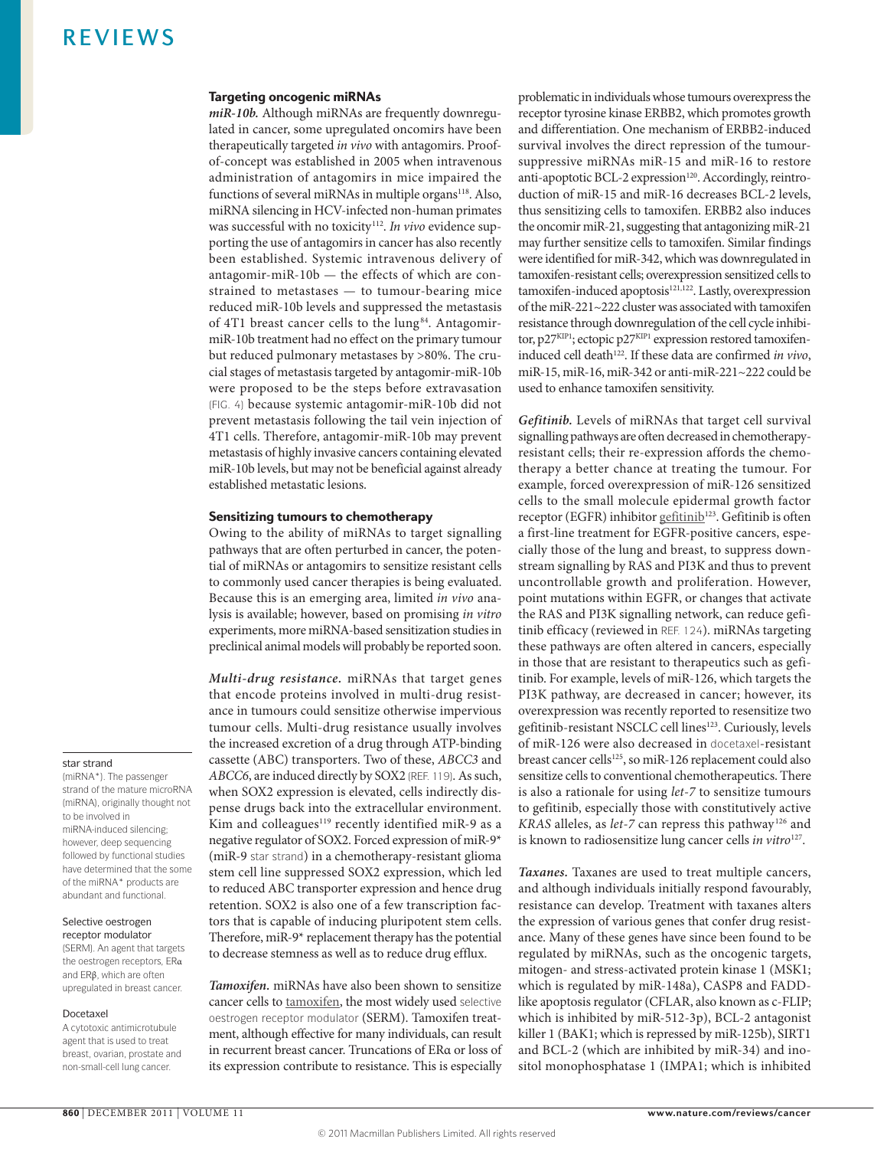# Targeting oncogenic miRNAs

*miR‑10b.* Although miRNAs are frequently downregulated in cancer, some upregulated oncomirs have been therapeutically targeted *in vivo* with antagomirs. Proofof-concept was established in 2005 when intravenous administration of antagomirs in mice impaired the functions of several miRNAs in multiple organs<sup>118</sup>. Also, miRNA silencing in HCV-infected non-human primates was successful with no toxicity<sup>112</sup>. In vivo evidence supporting the use of antagomirs in cancer has also recently been established. Systemic intravenous delivery of antagomir-miR-10b — the effects of which are constrained to metastases — to tumour-bearing mice reduced miR-10b levels and suppressed the metastasis of 4T1 breast cancer cells to the lung<sup>84</sup>. AntagomirmiR-10b treatment had no effect on the primary tumour but reduced pulmonary metastases by >80%. The crucial stages of metastasis targeted by antagomir-miR-10b were proposed to be the steps before extravasation (FIG. 4) because systemic antagomir-miR-10b did not prevent metastasis following the tail vein injection of 4T1 cells. Therefore, antagomir-miR-10b may prevent metastasis of highly invasive cancers containing elevated miR-10b levels, but may not be beneficial against already established metastatic lesions.

# Sensitizing tumours to chemotherapy

Owing to the ability of miRNAs to target signalling pathways that are often perturbed in cancer, the potential of miRNAs or antagomirs to sensitize resistant cells to commonly used cancer therapies is being evaluated. Because this is an emerging area, limited *in vivo* analysis is available; however, based on promising *in vitro* experiments, more miRNA-based sensitization studies in preclinical animal models will probably be reported soon.

*Multi-drug resistance.* miRNAs that target genes that encode proteins involved in multi-drug resistance in tumours could sensitize otherwise impervious tumour cells. Multi-drug resistance usually involves the increased excretion of a drug through ATP-binding cassette (ABC) transporters. Two of these, *ABCC3* and *ABCC6*, are induced directly by SOX2 (REF. 119). As such, when SOX2 expression is elevated, cells indirectly dispense drugs back into the extracellular environment. Kim and colleagues<sup>119</sup> recently identified miR-9 as a negative regulator of SOX2. Forced expression of miR-9\* (miR-9 star strand) in a chemotherapy-resistant glioma stem cell line suppressed SOX2 expression, which led to reduced ABC transporter expression and hence drug retention. SOX2 is also one of a few transcription factors that is capable of inducing pluripotent stem cells. Therefore, miR-9\* replacement therapy has the potential to decrease stemness as well as to reduce drug efflux.

*Tamoxifen.* miRNAs have also been shown to sensitize cancer cells to [tamoxifen](http://www.cancer.gov/drugdictionary?CdrID=42901), the most widely used selective oestrogen receptor modulator (SERM). Tamoxifen treatment, although effective for many individuals, can result in recurrent breast cancer. Truncations of ERα or loss of its expression contribute to resistance. This is especially problematic in individuals whose tumours overexpress the receptor tyrosine kinase ERBB2, which promotes growth and differentiation. One mechanism of ERBB2-induced survival involves the direct repression of the tumoursuppressive miRNAs miR-15 and miR-16 to restore anti-apoptotic BCL-2 expression<sup>120</sup>. Accordingly, reintroduction of miR-15 and miR-16 decreases BCL-2 levels, thus sensitizing cells to tamoxifen. ERBB2 also induces the oncomir miR-21, suggesting that antagonizing miR-21 may further sensitize cells to tamoxifen. Similar findings were identified for miR-342, which was downregulated in tamoxifen-resistant cells; overexpression sensitized cells to tamoxifen-induced apoptosis<sup>121,122</sup>. Lastly, overexpression of the miR-221~222 cluster was associated with tamoxifen resistance through downregulation of the cell cycle inhibitor, p27<sup>KIP1</sup>; ectopic p27<sup>KIP1</sup> expression restored tamoxifeninduced cell death<sup>122</sup>. If these data are confirmed *in vivo*, miR-15, miR-16, miR-342 or anti-miR-221~222 could be used to enhance tamoxifen sensitivity.

*Gefitinib.* Levels of miRNAs that target cell survival signalling pathways are often decreased in chemotherapyresistant cells; their re-expression affords the chemotherapy a better chance at treating the tumour. For example, forced overexpression of miR-126 sensitized cells to the small molecule epidermal growth factor receptor (EGFR) inhibitor [gefitinib](http://www.cancer.gov/drugdictionary?CdrID=43649)<sup>123</sup>. Gefitinib is often a first-line treatment for EGFR-positive cancers, especially those of the lung and breast, to suppress downstream signalling by RAS and PI3K and thus to prevent uncontrollable growth and proliferation. However, point mutations within EGFR, or changes that activate the RAS and PI3K signalling network, can reduce gefitinib efficacy (reviewed in REF. 124). miRNAs targeting these pathways are often altered in cancers, especially in those that are resistant to therapeutics such as gefitinib. For example, levels of miR-126, which targets the PI3K pathway, are decreased in cancer; however, its overexpression was recently reported to resensitize two gefitinib-resistant NSCLC cell lines<sup>123</sup>. Curiously, levels of miR-126 were also decreased in docetaxel-resistant breast cancer cells<sup>125</sup>, so miR-126 replacement could also sensitize cells to conventional chemotherapeutics. There is also a rationale for using *let‑7* to sensitize tumours to gefitinib, especially those with constitutively active *KRAS* alleles, as *let‑7* can repress this pathway 126 and is known to radiosensitize lung cancer cells *in vitro*<sup>127</sup>.

*Taxanes.* Taxanes are used to treat multiple cancers, and although individuals initially respond favourably, resistance can develop. Treatment with taxanes alters the expression of various genes that confer drug resistance. Many of these genes have since been found to be regulated by miRNAs, such as the oncogenic targets, mitogen- and stress-activated protein kinase 1 (MSK1; which is regulated by miR-148a), CASP8 and FADDlike apoptosis regulator (CFLAR, also known as c-FLIP; which is inhibited by miR-512-3p), BCL-2 antagonist killer 1 (BAK1; which is repressed by miR-125b), SIRT1 and BCL-2 (which are inhibited by miR-34) and inositol monophosphatase 1 (IMPA1; which is inhibited

### star strand

(miRNA\*). The passenger strand of the mature microRNA (miRNA), originally thought not to be involved in miRNA-induced silencing; however, deep sequencing followed by functional studies have determined that the some of the miRNA\* products are abundant and functional.

#### Selective oestrogen receptor modulator

(SERM). An agent that targets the oestrogen receptors, ERα and ERβ, which are often upregulated in breast cancer.

### Docetaxel

A cytotoxic antimicrotubule agent that is used to treat breast, ovarian, prostate and non-small-cell lung cancer.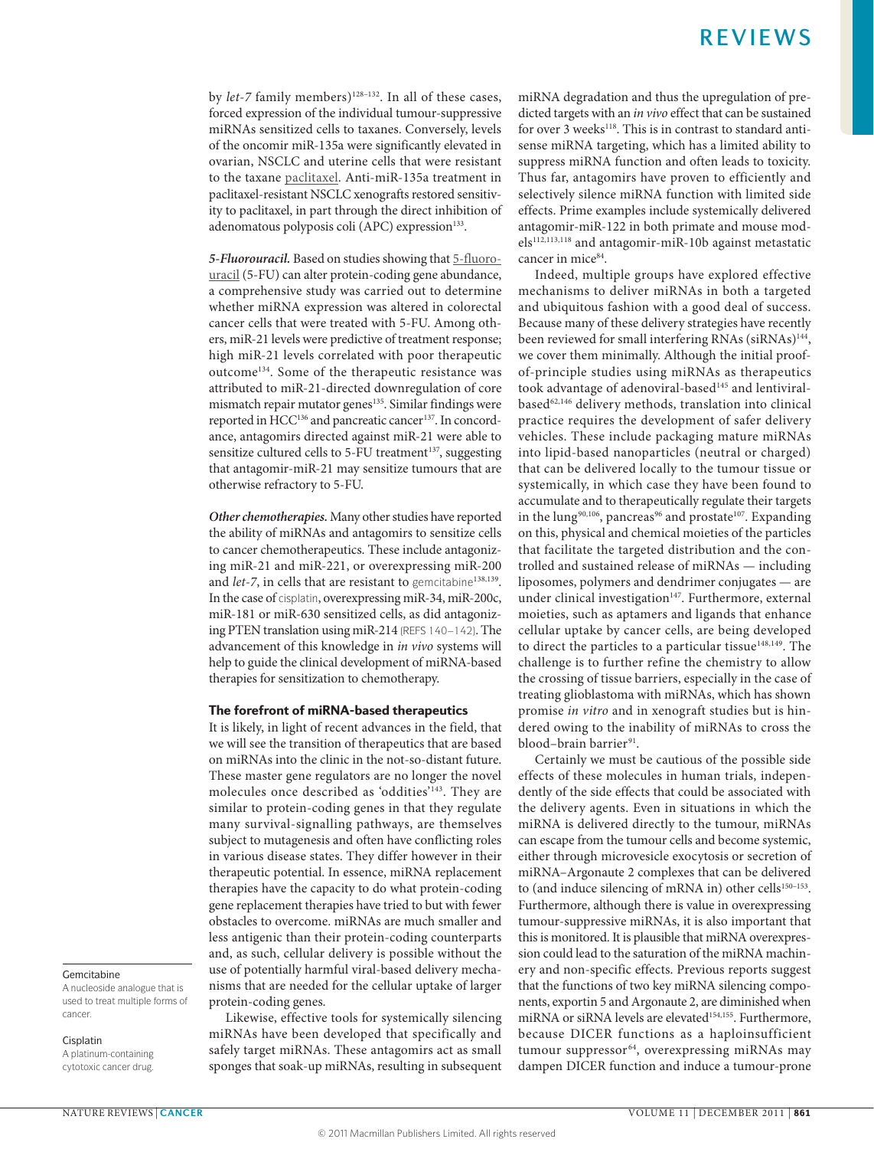by *let*-7 family members)<sup>128-132</sup>. In all of these cases, forced expression of the individual tumour-suppressive miRNAs sensitized cells to taxanes. Conversely, levels of the oncomir miR-135a were significantly elevated in ovarian, NSCLC and uterine cells that were resistant to the taxane [paclitaxel.](http://www.cancer.gov/drugdictionary?CdrID=39762) Anti-miR-135a treatment in paclitaxel-resistant NSCLC xenografts restored sensitivity to paclitaxel, in part through the direct inhibition of adenomatous polyposis coli (APC) expression<sup>133</sup>.

*5‑Fluorouracil.* Based on studies showing that [5-fluoro](http://www.cancer.gov/drugdictionary?CdrID=43130)[uracil](http://www.cancer.gov/drugdictionary?CdrID=43130) (5-FU) can alter protein-coding gene abundance, a comprehensive study was carried out to determine whether miRNA expression was altered in colorectal cancer cells that were treated with 5-FU. Among others, miR-21 levels were predictive of treatment response; high miR-21 levels correlated with poor therapeutic outcome134. Some of the therapeutic resistance was attributed to miR-21-directed downregulation of core mismatch repair mutator genes<sup>135</sup>. Similar findings were reported in HCC<sup>136</sup> and pancreatic cancer<sup>137</sup>. In concordance, antagomirs directed against miR-21 were able to sensitize cultured cells to 5-FU treatment<sup>137</sup>, suggesting that antagomir-miR-21 may sensitize tumours that are otherwise refractory to 5-FU.

*Other chemotherapies.* Many other studies have reported the ability of miRNAs and antagomirs to sensitize cells to cancer chemotherapeutics. These include antagonizing miR-21 and miR-221, or overexpressing miR-200 and *let-7*, in cells that are resistant to gemcitabine<sup>138,139</sup>. In the case of cisplatin, overexpressing miR-34, miR-200c, miR-181 or miR-630 sensitized cells, as did antagonizing PTEN translation using miR-214 (REFS 140–142). The advancement of this knowledge in *in vivo* systems will help to guide the clinical development of miRNA-based therapies for sensitization to chemotherapy.

### The forefront of miRNA-based therapeutics

It is likely, in light of recent advances in the field, that we will see the transition of therapeutics that are based on miRNAs into the clinic in the not-so-distant future. These master gene regulators are no longer the novel molecules once described as 'oddities'143. They are similar to protein-coding genes in that they regulate many survival-signalling pathways, are themselves subject to mutagenesis and often have conflicting roles in various disease states. They differ however in their therapeutic potential. In essence, miRNA replacement therapies have the capacity to do what protein-coding gene replacement therapies have tried to but with fewer obstacles to overcome. miRNAs are much smaller and less antigenic than their protein-coding counterparts and, as such, cellular delivery is possible without the use of potentially harmful viral-based delivery mechanisms that are needed for the cellular uptake of larger protein-coding genes.

Likewise, effective tools for systemically silencing miRNAs have been developed that specifically and safely target miRNAs. These antagomirs act as small sponges that soak-up miRNAs, resulting in subsequent miRNA degradation and thus the upregulation of predicted targets with an *in vivo* effect that can be sustained for over 3 weeks<sup>118</sup>. This is in contrast to standard antisense miRNA targeting, which has a limited ability to suppress miRNA function and often leads to toxicity. Thus far, antagomirs have proven to efficiently and selectively silence miRNA function with limited side effects. Prime examples include systemically delivered antagomir-miR-122 in both primate and mouse models<sup>112,113,118</sup> and antagomir-miR-10b against metastatic cancer in mice<sup>84</sup>.

Indeed, multiple groups have explored effective mechanisms to deliver miRNAs in both a targeted and ubiquitous fashion with a good deal of success. Because many of these delivery strategies have recently been reviewed for small interfering RNAs (siRNAs)<sup>144</sup>, we cover them minimally. Although the initial proofof-principle studies using miRNAs as therapeutics took advantage of adenoviral-based<sup>145</sup> and lentiviralbased<sup>62,146</sup> delivery methods, translation into clinical practice requires the development of safer delivery vehicles. These include packaging mature miRNAs into lipid-based nanoparticles (neutral or charged) that can be delivered locally to the tumour tissue or systemically, in which case they have been found to accumulate and to therapeutically regulate their targets in the lung<sup>90,106</sup>, pancreas<sup>96</sup> and prostate<sup>107</sup>. Expanding on this, physical and chemical moieties of the particles that facilitate the targeted distribution and the controlled and sustained release of miRNAs — including liposomes, polymers and dendrimer conjugates — are under clinical investigation<sup>147</sup>. Furthermore, external moieties, such as aptamers and ligands that enhance cellular uptake by cancer cells, are being developed to direct the particles to a particular tissue<sup>148,149</sup>. The challenge is to further refine the chemistry to allow the crossing of tissue barriers, especially in the case of treating glioblastoma with miRNAs, which has shown promise *in vitro* and in xenograft studies but is hindered owing to the inability of miRNAs to cross the blood-brain barrier91.

Certainly we must be cautious of the possible side effects of these molecules in human trials, independently of the side effects that could be associated with the delivery agents. Even in situations in which the miRNA is delivered directly to the tumour, miRNAs can escape from the tumour cells and become systemic, either through microvesicle exocytosis or secretion of miRNA–Argonaute 2 complexes that can be delivered to (and induce silencing of mRNA in) other cells<sup>150-153</sup>. Furthermore, although there is value in overexpressing tumour-suppressive miRNAs, it is also important that this is monitored. It is plausible that miRNA overexpression could lead to the saturation of the miRNA machinery and non-specific effects. Previous reports suggest that the functions of two key miRNA silencing components, exportin 5 and Argonaute 2, are diminished when miRNA or siRNA levels are elevated<sup>154,155</sup>. Furthermore, because DICER functions as a haploinsufficient tumour suppressor<sup>64</sup>, overexpressing miRNAs may dampen DICER function and induce a tumour-prone

### Gemcitabine

A nucleoside analogue that is used to treat multiple forms of cancer.

#### Cisplatin

A platinum-containing cytotoxic cancer drug.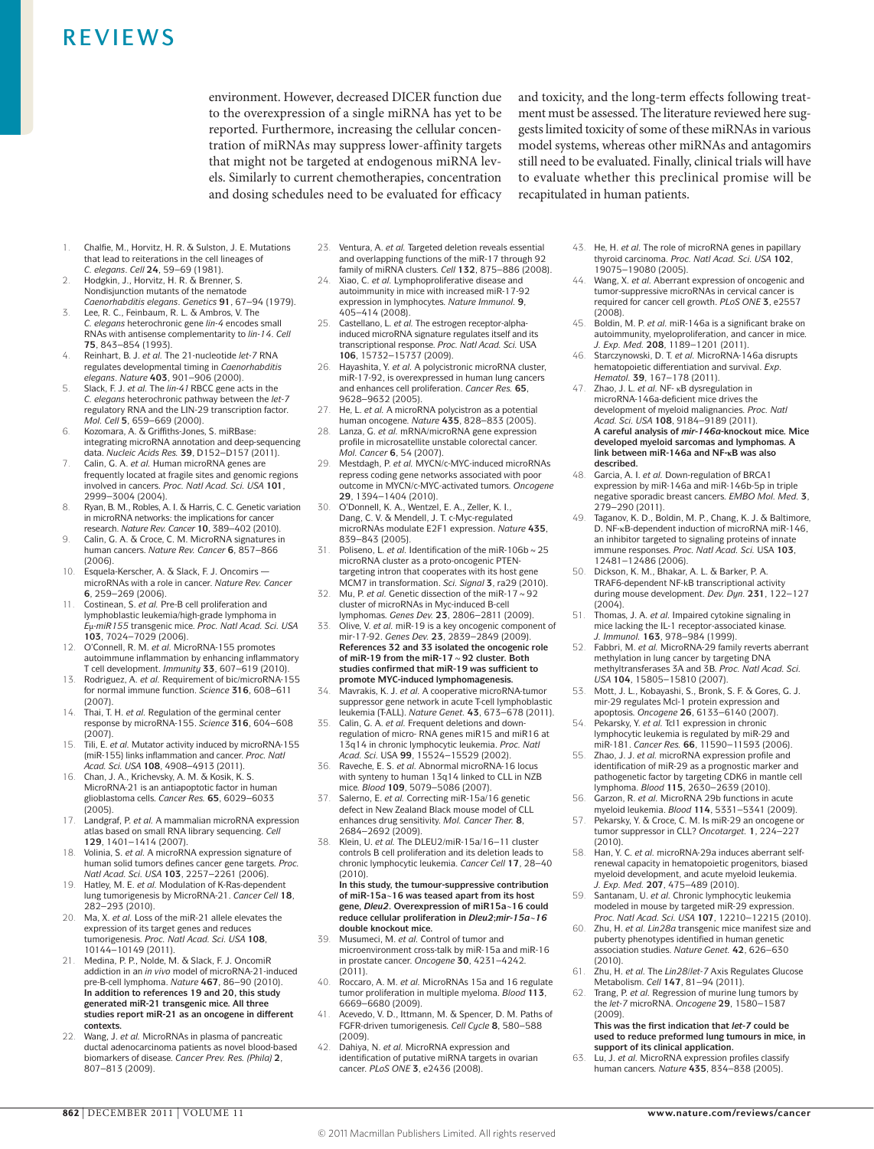environment. However, decreased DICER function due to the overexpression of a single miRNA has yet to be reported. Furthermore, increasing the cellular concentration of miRNAs may suppress lower-affinity targets that might not be targeted at endogenous miRNA levels. Similarly to current chemotherapies, concentration and dosing schedules need to be evaluated for efficacy and toxicity, and the long-term effects following treatment must be assessed. The literature reviewed here suggests limited toxicity of some of these miRNAs in various model systems, whereas other miRNAs and antagomirs still need to be evaluated. Finally, clinical trials will have to evaluate whether this preclinical promise will be recapitulated in human patients.

- 1. Chalfie, M., Horvitz, H. R. & Sulston, J. E. Mutations that lead to reiterations in the cell lineages of *C. elegans*. *Cell* **24**, 59–69 (1981).
- 2. Hodgkin, J., Horvitz, H. R. & Brenner, S. Nondisjunction mutants of the nematode *Caenorhabditis elegans*. *Genetics* **91**, 67–94 (1979).
- 3. Lee, R. C., Feinbaum, R. L. & Ambros, V. The *C. elegans* heterochronic gene *lin‑4* encodes small RNAs with antisense complementarity to *lin‑14*. *Cell* **75**, 843–854 (1993).
- 4. Reinhart, B. J. *et al.* The 21‑nucleotide *let‑7* RNA regulates developmental timing in *Caenorhabditis elegans*. *Nature* **403**, 901–906 (2000).
- 5. Slack, F. J. *et al.* The *lin‑41*RBCC gene acts in the *C. elegans* heterochronic pathway between the *let‑7* regulatory RNA and the LIN‑29 transcription factor. *Mol. Cell* **5**, 659–669 (2000).
- 6. Kozomara, A. & Griffiths-Jones, S. miRBase: integrating microRNA annotation and deep-sequencing data. *Nucleic Acids Res.* **39**, D152–D157 (2011).
- 7. Calin, G. A. *et al.* Human microRNA genes are frequently located at fragile sites and genomic regions involved in cancers. *Proc. Natl Acad. Sci. USA* **101**, 2999–3004 (2004).
- 8. Ryan, B. M., Robles, A. I. & Harris, C. C. Genetic variation in microRNA networks: the implications for cancer research. *Nature Rev. Cancer* **10**, 389–402 (2010).
- 9. Calin, G. A. & Croce, C. M. MicroRNA signatures in human cancers. *Nature Rev. Cancer* **6**, 857–866 (2006).
- 10. Esquela-Kerscher, A. & Slack, F. J. Oncomirs microRNAs with a role in cancer. *Nature Rev. Cancer* **6**, 259–269 (2006).
- 11. Costinean, S. *et al.* Pre‑B cell proliferation and lymphoblastic leukemia/high-grade lymphoma in *E*μ*‑miR155* transgenic mice. *Proc. Natl Acad. Sci. USA* **103**, 7024–7029 (2006).
- 12. O'Connell, R. M. *et al.* MicroRNA‑155 promotes autoimmune inflammation by enhancing inflammatory T cell development. *Immunity* **33**, 607–619 (2010).
- 13. Rodriguez, A. *et al.* Requirement of bic/microRNA‑155 for normal immune function. *Science* **316**, 608–611 (2007).
- 14. Thai, T. H. *et al.* Regulation of the germinal center response by microRNA‑155. *Science* **316**, 604–608 (2007).
- 15. Tili, E. *et al.* Mutator activity induced by microRNA‑155 (miR‑155) links inflammation and cancer. *Proc. Natl Acad. Sci. USA* **108**, 4908–4913 (2011).
- 16. Chan, J. A., Krichevsky, A. M. & Kosik, K. S. MicroRNA‑21 is an antiapoptotic factor in human glioblastoma cells. *Cancer Res.* **65**, 6029–6033 (2005).
- 17. Landgraf, P. *et al.* A mammalian microRNA expression atlas based on small RNA library sequencing. *Cell* **129**, 1401–1414 (2007).
- 18. Volinia, S. *et al.* A microRNA expression signature of human solid tumors defines cancer gene targets. *Proc. Natl Acad. Sci. USA* **103**, 2257–2261 (2006).
- 19. Hatley, M. E. *et al.* Modulation of K‑Ras‑dependent lung tumorigenesis by MicroRNA‑21. *Cancer Cell* **18**, 282–293 (2010).
- 20. Ma, X. *et al.* Loss of the miR‑21 allele elevates the expression of its target genes and reduces tumorigenesis. *Proc. Natl Acad. Sci. USA* **108**, 10144–10149 (2011).
- 21. Medina, P. P., Nolde, M. & Slack, F. J. OncomiR addiction in an *in vivo* model of microRNA-21‑induced pre‑B‑cell lymphoma. *Nature* **467**, 86–90 (2010). **In addition to references 19 and 20, this study generated miR‑21 transgenic mice. All three studies report miR‑21 as an oncogene in different contexts.**
- 22. Wang, J. *et al.* MicroRNAs in plasma of pancreatic ductal adenocarcinoma patients as novel blood-based biomarkers of disease. *Cancer Prev. Res. (Phila)* **2**, 807–813 (2009).
- 23. Ventura, A. *et al.* Targeted deletion reveals essential and overlapping functions of the miR‑17 through 92 family of miRNA clusters. *Cell* **132**, 875–886 (2008).
- 24. Xiao, C. *et al.* Lymphoproliferative disease and autoimmunity in mice with increased miR‑17‑92 expression in lymphocytes. *Nature Immunol.* **9**, 405–414 (2008).
- 25. Castellano, L. et al. The estrogen receptor-alphainduced microRNA signature regulates itself and its transcriptional response. *Proc. Natl Acad. Sci.* USA **106**, 15732–15737 (2009).
- 26. Hayashita, Y. *et al.* A polycistronic microRNA cluster, miR‑17‑92, is overexpressed in human lung cancers and enhances cell proliferation. *Cancer Res.* **65**, 9628–9632 (2005).
- 27. He, L. *et al.* A microRNA polycistron as a potential human oncogene. *Nature* **435**, 828–833 (2005).
- 28. Lanza, G. *et al.* mRNA/microRNA gene expression profile in microsatellite unstable colorectal cancer. *Mol. Cancer* **6**, 54 (2007).
- 29. Mestdagh, P. *et al.* MYCN/c‑MYC‑induced microRNAs repress coding gene networks associated with poor outcome in MYCN/c‑MYC‑activated tumors. *Oncogene* **29**, 1394–1404 (2010).
- 30. O'Donnell, K. A., Wentzel, E. A., Zeller, K. I., Dang, C. V. & Mendell, J. T. c-Myc-regulated microRNAs modulate E2F1 expression. *Nature* **435**, 839–843 (2005).
- 31. Poliseno, L. *et al.* Identification of the miR-106b  $\sim$  25 microRNA cluster as a proto-oncogenic PTENtargeting intron that cooperates with its host gene MCM7 in transformation. *Sci. Signal* **3**, ra29 (2010).
- Mu, P. *et al.* Genetic dissection of the miR-17  $\sim$  92 cluster of microRNAs in Myc-induced B‑cell lymphomas. *Genes Dev.* **23**, 2806–2811 (2009).
- 33. Olive, V. *et al.* miR‑19 is a key oncogenic component of mir‑17‑92. *Genes Dev.* **23**, 2839–2849 (2009). **References 32 and 33 isolated the oncogenic role of miR‑19 from the miR‑17~92 cluster. Both studies confirmed that miR‑19 was sufficient to promote MYC-induced lymphomagenesis.**
- 34. Mavrakis, K. J. *et al.* A cooperative microRNA-tumor suppressor gene network in acute T‑cell lymphoblastic leukemia (T-ALL). *Nature Genet.* **43**, 673–678 (2011).
- 35. Calin, G. A. *et al.* Frequent deletions and downregulation of micro- RNA genes miR15 and miR16 at 13q14 in chronic lymphocytic leukemia. *Proc. Natl Acad. Sci.* USA **99**, 15524–15529 (2002).
- Raveche, E. S. *et al.* Abnormal microRNA-16 locus with synteny to human 13q14 linked to CLL in NZB mice. *Blood* **109**, 5079–5086 (2007).
- 37. Salerno, E. *et al.* Correcting miR‑15a/16 genetic defect in New Zealand Black mouse model of CLL enhances drug sensitivity. *Mol. Cancer Ther.* **8**, 2684–2692 (2009).
- 38. Klein, U. *et al.* The DLEU2/miR‑15a/16–11 cluster controls B cell proliferation and its deletion leads to chronic lymphocytic leukemia. *Cancer Cell* **17**, 28–40  $(2010)$

**In this study, the tumour-suppressive contribution of miR‑15a**~**16 was teased apart from its host gene,** *Dleu2***. Overexpression of miR15a**~**16 could reduce cellular proliferation in** *Dleu2***;***mir‑15a*~*16* **double knockout mice.**

- 39. Musumeci, M. *et al.* Control of tumor and microenvironment cross-talk by miR‑15a and miR‑16 in prostate cancer. *Oncogene* **30**, 4231–4242*.* (2011).
- 40. Roccaro, A. M. *et al.* MicroRNAs 15a and 16 regulate tumor proliferation in multiple myeloma. *Blood* **113**, 6669–6680 (2009).
- 41. Acevedo, V. D., Ittmann, M. & Spencer, D. M. Paths of FGFR-driven tumorigenesis. *Cell Cycle* **8**, 580–588 (2009).
- 42. Dahiya, N. *et al.* MicroRNA expression and identification of putative miRNA targets in ovarian cancer. *PLoS ONE* **3**, e2436 (2008).
- 43. He, H. *et al.* The role of microRNA genes in papillary thyroid carcinoma. *Proc. Natl Acad. Sci. USA* **102**, 19075–19080 (2005).
- 44. Wang, X. *et al.* Aberrant expression of oncogenic and tumor-suppressive microRNAs in cervical cancer is required for cancer cell growth. *PLoS ONE* **3**, e2557 (2008).
- 45. Boldin, M. P. *et al.* miR‑146a is a significant brake on autoimmunity, myeloproliferation, and cancer in mice. *J. Exp. Med.* **208**, 1189–1201 (2011).
- 46. Starczynowski, D. T. *et al.* MicroRNA‑146a disrupts hematopoietic differentiation and survival. *Exp. Hematol.* **39**, 167–178 (2011).
- 47. Zhao, J. L. *et al.* NF‑ κB dysregulation in microRNA‑146a‑deficient mice drives the development of myeloid malignancies. *Proc. Natl Acad. Sci. USA* **108**, 9184–9189 (2011). **A careful analysis of** *mir‑146a***‑knockout mice. Mice developed myeloid sarcomas and lymphomas. A link between miR‑146a and NF‑κB was also described.**
- 48. Garcia, A. I. *et al.* Down-regulation of BRCA1 expression by miR‑146a and miR‑146b‑5p in triple negative sporadic breast cancers. *EMBO Mol. Med.* **3**, 279–290 (2011).
- 49. Taganov, K. D., Boldin, M. P., Chang, K. J. & Baltimore, D. NF‑kB‑dependent induction of microRNA miR‑146, an inhibitor targeted to signaling proteins of innate immune responses. *Proc. Natl Acad. Sci.* USA **103**, 12481–12486 (2006).
- 50. Dickson, K. M., Bhakar, A. L. & Barker, P. A. TRAF6‑dependent NF‑kB transcriptional activity during mouse development. *Dev. Dyn.* **231**, 122–127 (2004).
- 51. Thomas, J. A. *et al.* Impaired cytokine signaling in mice lacking the IL‑1 receptor-associated kinase. *J. Immunol.* **163**, 978–984 (1999).
- 52. Fabbri, M. *et al.* MicroRNA‑29 family reverts aberrant methylation in lung cancer by targeting DNA methyltransferases 3A and 3B. *Proc. Natl Acad. Sci. USA* **104**, 15805–15810 (2007).
- 53. Mott, J. L., Kobayashi, S., Bronk, S. F. & Gores, G. J. mir‑29 regulates Mcl‑1 protein expression and apoptosis. *Oncogene* **26**, 6133–6140 (2007).
- 54. Pekarsky, Y. *et al.* Tcl1 expression in chronic lymphocytic leukemia is regulated by miR‑29 and
- miR‑181. *Cancer Res.* **66**, 11590–11593 (2006). 55. Zhao, J. J. *et al.* microRNA expression profile and identification of miR‑29 as a prognostic marker and pathogenetic factor by targeting CDK6 in mantle cell lymphoma. *Blood* **115**, 2630–2639 (2010).
- 56. Garzon, R. *et al.* MicroRNA 29b functions in acute myeloid leukemia. *Blood* **114**, 5331–5341 (2009).
- 57. Pekarsky, Y. & Croce, C. M. Is miR‑29 an oncogene or tumor suppressor in CLL? *Oncotarget.* **1**, 224–227 (2010).
- 58. Han, Y. C. *et al.* microRNA‑29a induces aberrant selfrenewal capacity in hematopoietic progenitors, biased myeloid development, and acute myeloid leukemia. *J. Exp. Med.* **207**, 475–489 (2010).
- Santanam, U. et al. Chronic lymphocytic leukemia modeled in mouse by targeted miR‑29 expression. *Proc. Natl Acad. Sci. USA* **107**, 12210–12215 (2010).
- 60. Zhu, H. *et al. Lin28a* transgenic mice manifest size and puberty phenotypes identified in human genetic association studies. *Nature Genet.* **42**, 626–630 (2010).
- 61. Zhu, H. *et al.* The *Lin28*/*let‑7* Axis Regulates Glucose
- Metabolism. *Cell* **147**, 81–94 (2011).<br>62. Trang, P. *et al.* Regression of murine lung tumors by the *let‑7* microRNA. *Oncogene* **29**, 1580–1587 (2009).

**This was the first indication that** *let‑7* **could be used to reduce preformed lung tumours in mice, in support of its clinical application.**

63. Lu, J. *et al.* MicroRNA expression profiles classify human cancers. *Nature* **435**, 834–838 (2005).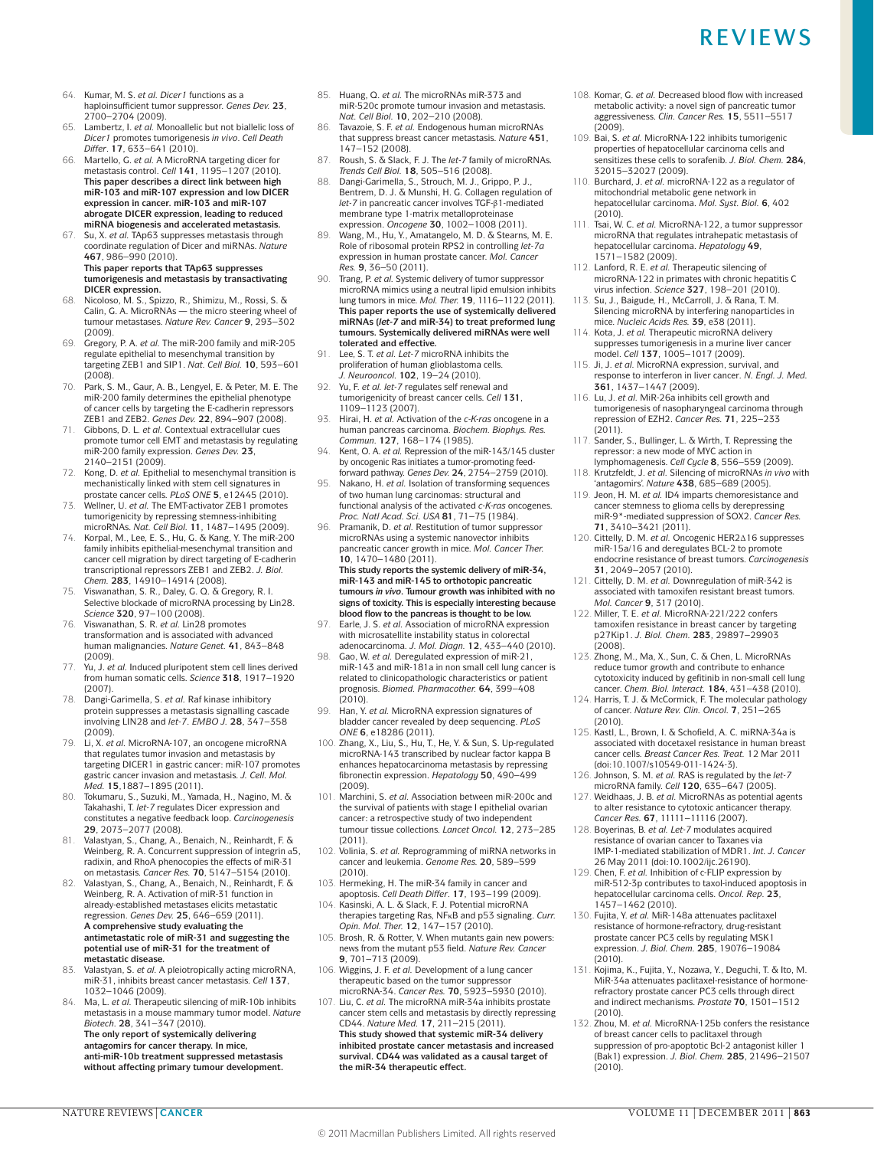- 64. Kumar, M. S. *et al. Dicer1* functions as a haploinsufficient tumor suppressor. *Genes Dev.* **23**, 2700–2704 (2009).
- 65. Lambertz, I. *et al.* Monoallelic but not biallelic loss of *Dicer1* promotes tumorigenesis *in vivo*. *Cell Death Differ*. **17**, 633–641 (2010).
- 66. Martello, G. *et al.* A MicroRNA targeting dicer for metastasis control. *Cell* **141**, 1195–1207 (2010). **This paper describes a direct link between high miR‑103 and miR‑107 expression and low DICER expression in cancer. miR‑103 and miR‑107 abrogate DICER expression, leading to reduced miRNA biogenesis and accelerated metastasis.**

67. Su, X. *et al.* TAp63 suppresses metastasis through coordinate regulation of Dicer and miRNAs. *Nature* **467**, 986–990 (2010). **This paper reports that TAp63 suppresses tumorigenesis and metastasis by transactivating DICER expression.**

- 68. Nicoloso, M. S., Spizzo, R., Shimizu, M., Rossi, S. & Calin, G. A. MicroRNAs the micro steering wheel of tumour metastases. *Nature Rev. Cancer* **9**, 293–302 (2009).
- 69. Gregory, P. A. *et al.* The miR‑200 family and miR‑205 regulate epithelial to mesenchymal transition by targeting ZEB1 and SIP1. *Nat. Cell Biol.* **10**, 593–601 (2008)
- 70. Park, S. M., Gaur, A. B., Lengyel, E. & Peter, M. E. The miR‑200 family determines the epithelial phenotype of cancer cells by targeting the E‑cadherin repressors
- ZEB1 and ZEB2. *Genes Dev.* **22**, 894–907 (2008). 71. Gibbons, D. L. *et al.* Contextual extracellular cues promote tumor cell EMT and metastasis by regulating miR‑200 family expression. *Genes Dev.* **23**, 2140–2151 (2009).
- 72. Kong, D. *et al.* Epithelial to mesenchymal transition is mechanistically linked with stem cell signatures in prostate cancer cells. *PLoS ONE* **5**, e12445 (2010).
- Wellner, U. et al. The EMT-activator ZEB1 promotes tumorigenicity by repressing stemness-inhibiting microRNAs. *Nat. Cell Biol.* **11**, 1487–1495 (2009).
- 74. Korpal, M., Lee, E. S., Hu, G. & Kang, Y. The miR‑200 family inhibits epithelial-mesenchymal transition and cancer cell migration by direct targeting of E‑cadherin transcriptional repressors ZEB1 and ZEB2. *J. Biol. Chem.* **283**, 14910–14914 (2008).
- 75. Viswanathan, S. R., Daley, G. Q. & Gregory, R. I. Selective blockade of microRNA processing by Lin28. *Science* **320**, 97–100 (2008).
- Viswanathan, S. R. et al. Lin28 promotes transformation and is associated with advanced human malignancies. *Nature Genet.* **41**, 843–848
- (2009). 77. Yu, J. *et al.* Induced pluripotent stem cell lines derived from human somatic cells. *Science* **318**, 1917–1920 (2007).
- 78. Dangi-Garimella, S. *et al.* Raf kinase inhibitory protein suppresses a metastasis signalling cascade involving LIN28 and *let‑7*. *EMBO J.* **28**, 347–358 (2009).
- 79. Li, X. *et al.* MicroRNA‑107, an oncogene microRNA that regulates tumor invasion and metastasis by targeting DICER1 in gastric cancer: miR‑107 promotes gastric cancer invasion and metastasis. *J. Cell. Mol. Med.* **15**,1887–1895 (2011).
- 80. Tokumaru, S., Suzuki, M., Yamada, H., Nagino, M. & Takahashi, T. *let‑7* regulates Dicer expression and constitutes a negative feedback loop. *Carcinogenesis* **29**, 2073–2077 (2008). 81. Valastyan, S., Chang, A., Benaich, N., Reinhardt, F. &
- Weinberg, R. A. Concurrent suppression of integrin α5, radixin, and RhoA phenocopies the effects of miR‑31 on metastasis. *Cancer Res.* **70**, 5147–5154 (2010).
- 82. Valastyan, S., Chang, A., Benaich, N., Reinhardt, F. & Weinberg, R. A. Activation of miR‑31 function in already-established metastases elicits metastatic regression. *Genes Dev.* **25**, 646–659 (2011). **A comprehensive study evaluating the antimetastatic role of miR‑31 and suggesting the potential use of miR‑31 for the treatment of metastatic disease.**
- 83. Valastyan, S. *et al.* A pleiotropically acting microRNA, miR‑31, inhibits breast cancer metastasis. *Cell* **137**, 1032–1046 (2009).
- Ma, L. et al. Therapeutic silencing of miR-10b inhibits metastasis in a mouse mammary tumor model. *Nature Biotech.* **28**, 341–347 (2010). **The only report of systemically delivering antagomirs for cancer therapy. In mice,**

**anti‑miR‑10b treatment suppressed metastasis without affecting primary tumour development.**

- 85. Huang, Q. *et al.* The microRNAs miR‑373 and miR‑520c promote tumour invasion and metastasis. *Nat. Cell Biol.* **10**, 202–210 (2008).
- 86. Tavazoie, S. F. *et al.* Endogenous human microRNAs that suppress breast cancer metastasis. *Nature* **451**, 147–152 (2008).
- 87. Roush, S. & Slack, F. J. The *let‑7* family of microRNAs. *Trends Cell Biol.* **18**, 505–516 (2008).
- 88. Dangi-Garimella, S., Strouch, M. J., Grippo, P. J., Bentrem, D. J. & Munshi, H. G. Collagen regulation of *let‑7* in pancreatic cancer involves TGF‑β1‑mediated membrane type 1‑matrix metalloproteinase expression. *Oncogene* **30**, 1002–1008 (2011).
- 89. Wang, M., Hu, Y., Amatangelo, M. D. & Stearns, M. E. Role of ribosomal protein RPS2 in controlling *let-7a* expression in human prostate cancer. *Mol. Cancer Res.* **9**, 36–50 (2011).
- 90. Trang, P. *et al.* Systemic delivery of tumor suppressor microRNA mimics using a neutral lipid emulsion inhibits lung tumors in mice. *Mol. Ther.* **19**, 1116–1122 (2011). **This paper reports the use of systemically delivered miRNAs (***let‑7* **and miR‑34) to treat preformed lung tumours. Systemically delivered miRNAs were well tolerated and effective.**
- 91. Lee, S. T. *et al. Let‑7* microRNA inhibits the proliferation of human glioblastoma cells. *J. Neurooncol.* **102**, 19–24 (2010).
- Yu, F. *et al. let-7* regulates self renewal and tumorigenicity of breast cancer cells. *Cell* **131**, 1109–1123 (2007).
- 93. Hirai, H. *et al.* Activation of the *c‑K‑ras* oncogene in a human pancreas carcinoma. *Biochem. Biophys. Res. Commun.* **127**, 168–174 (1985).
- Kent, O. A. *et al.* Repression of the miR-143/145 cluster by oncogenic Ras initiates a tumor-promoting feedforward pathway. *Genes Dev.* **24**, 2754–2759 (2010).
- 95. Nakano, H. *et al.* Isolation of transforming sequences of two human lung carcinomas: structural and functional analysis of the activated *c‑K‑ras* oncogenes. *Proc. Natl Acad. Sci. USA* **81**, 71–75 (1984).
- 96. Pramanik, D. et al. Restitution of tumor suppressor microRNAs using a systemic nanovector inhibits pancreatic cancer growth in mice. *Mol. Cancer Ther.* **10**, 1470–1480 (2011). **This study reports the systemic delivery of miR‑34,**

**miR‑143 and miR‑145 to orthotopic pancreatic tumours** *in vivo***. Tumour growth was inhibited with no signs of toxicity. This is especially interesting because blood flow to the pancreas is thought to be low.**

- Earle, J. S. *et al.* Association of microRNA expression with microsatellite instability status in colorectal adenocarcinoma*. J. Mol. Diagn.* **12**, 433–440 (2010).
- 98. Gao, W. *et al.* Deregulated expression of miR-21, miR-143 and miR-181a in non small cell lung cancer is related to clinicopathologic characteristics or patient prognosis. *Biomed. Pharmacother.* **64**, 399–408 (2010).
- 99. Han, Y. *et al.* MicroRNA expression signatures of bladder cancer revealed by deep sequencing. *PLoS ONE* **6**, e18286 (2011).
- 100. Zhang, X., Liu, S., Hu, T., He, Y. & Sun, S. Up-regulated microRNA‑143 transcribed by nuclear factor kappa B enhances hepatocarcinoma metastasis by repressing fibronectin expression. *Hepatology* **50**, 490–499 (2009).
- 101. Marchini, S. *et al.* Association between miR‑200c and the survival of patients with stage I epithelial ovarian cancer: a retrospective study of two independent tumour tissue collections. *Lancet Oncol.* **12**, 273–285 (2011).
- 102. Volinia, S. *et al.* Reprogramming of miRNA networks in cancer and leukemia. *Genome Res.* **20**, 589–599 (2010).
- 103. Hermeking, H. The miR‑34 family in cancer and apoptosis. *Cell Death Differ*. **17**, 193–199 (2009).
- 104. Kasinski, A. L. & Slack, F. J. Potential microRNA therapies targeting Ras, NFκB and p53 signaling. *Curr. Opin. Mol. Ther.* **12**, 147–157 (2010).
- 105. Brosh, R. & Rotter, V. When mutants gain new powers: news from the mutant p53 field. *Nature Rev. Cancer* **9**, 701–713 (2009).
- 106. Wiggins, J. F. *et al.* Development of a lung cancer therapeutic based on the tumor suppressor microRNA‑34. *Cancer Res.* **70**, 5923–5930 (2010).
- 107. Liu, C. *et al.* The microRNA miR‑34a inhibits prostate cancer stem cells and metastasis by directly repressing CD44. *Nature Med.* **17**, 211–215 (2011). **This study showed that systemic miR‑34 delivery inhibited prostate cancer metastasis and increased survival. CD44 was validated as a causal target of the miR‑34 therapeutic effect.**
- 108. Komar, G. *et al.* Decreased blood flow with increased metabolic activity: a novel sign of pancreatic tumor aggressiveness. *Clin. Cancer Res.* **15**, 5511–5517 (2009).
- 109. Bai, S. *et al.* MicroRNA‑122 inhibits tumorigenic properties of hepatocellular carcinoma cells and sensitizes these cells to sorafenib. *J. Biol. Chem.* **284**, 32015–32027 (2009).
- 110. Burchard, J. *et al.* microRNA‑122 as a regulator of mitochondrial metabolic gene network in hepatocellular carcinoma. *Mol. Syst. Biol.* **6**, 402  $(2010)$
- 111. Tsai, W. C. *et al.* MicroRNA‑122, a tumor suppressor microRNA that regulates intrahepatic metastasis of hepatocellular carcinoma. *Hepatology* **49**, 1571–1582 (2009).
- 112. Lanford, R. E. *et al.* Therapeutic silencing of microRNA‑122 in primates with chronic hepatitis C virus infection. *Science* **327**, 198–201 (2010).
- 113. Su, J., Baigude, H., McCarroll, J. & Rana, T. M. Silencing microRNA by interfering nanoparticles in mice. *Nucleic Acids Res.* **39**, e38 (2011).
- 114. Kota, J. *et al.* Therapeutic microRNA delivery suppresses tumorigenesis in a murine liver cancer model. *Cell* **137**, 1005–1017 (2009).
- 115. Ji, J. *et al.* MicroRNA expression, survival, and response to interferon in liver cancer*. N. Engl. J. Med.* **361**, 1437–1447 (2009).
- 116. Lu, J. *et al.* MiR‑26a inhibits cell growth and tumorigenesis of nasopharyngeal carcinoma through repression of EZH2. *Cancer Res.* **71**, 225–233 (2011).
- 117. Sander, S., Bullinger, L. & Wirth, T. Repressing the repressor: a new mode of MYC action in lymphomagenesis. *Cell Cycle* **8**, 556–559 (2009).
- 118. Krutzfeldt, J. *et al.* Silencing of microRNAs *in vivo* with 'antagomirs'. *Nature* **438**, 685–689 (2005).
- 119. Jeon, H. M. *et al.* ID4 imparts chemoresistance and cancer stemness to glioma cells by derepressing miR‑9\*-mediated suppression of SOX2. *Cancer Res.* **71**, 3410–3421 (2011).
- 120. Cittelly, D. M. *et al.* Oncogenic HER2Δ16 suppresses miR‑15a/16 and deregulates BCL‑2 to promote endocrine resistance of breast tumors. *Carcinogenesis* **31**, 2049–2057 (2010).
- 121. Cittelly, D. M. *et al.* Downregulation of miR‑342 is associated with tamoxifen resistant breast tumors.
- *Mol. Cancer* **9**, 317 (2010). 122. Miller, T. E. *et al.* MicroRNA‑221/222 confers tamoxifen resistance in breast cancer by targeting p27Kip1. *J. Biol. Chem.* **283**, 29897–29903  $(2008)$
- 123. Zhong, M., Ma, X., Sun, C. & Chen, L. MicroRNAs reduce tumor growth and contribute to enhance cytotoxicity induced by gefitinib in non-small cell lung cancer. *Chem. Biol. Interact.* **184**, 431–438 (2010).
- 124. Harris, T. J. & McCormick, F. The molecular pathology of cancer. *Nature Rev. Clin. Oncol.* **7**, 251–265 (2010).
- 125. Kastl, L., Brown, I. & Schofield, A. C. miRNA‑34a is associated with docetaxel resistance in human breast cancer cells. *Breast Cancer Res. Treat.* 12 Mar 2011 (doi:10.1007/s10549‑011‑1424-3).
- 126. Johnson, S. M. *et al.* RAS is regulated by the *let‑7* microRNA family. *Cell* **120**, 635–647 (2005).
- Weidhaas, J. B. *et al.* MicroRNAs as potential agents to alter resistance to cytotoxic anticancer therapy. *Cancer Res.* **67**, 11111–11116 (2007).
- 128. Boyerinas, B. *et al. Let‑7* modulates acquired resistance of ovarian cancer to Taxanes via IMP‑1‑mediated stabilization of MDR1. *Int. J. Cancer* 26 May 2011 (doi:10.1002/ijc.26190).
- 129. Chen, F. *et al.* Inhibition of c‑FLIP expression by miR‑512‑3p contributes to taxol-induced apoptosis in hepatocellular carcinoma cells. *Oncol. Rep.* **23**, 1457–1462 (2010).
- 130. Fujita, Y. *et al.* MiR‑148a attenuates paclitaxel resistance of hormone-refractory, drug-resistant prostate cancer PC3 cells by regulating MSK1 expression. *J. Biol. Chem.* **285**, 19076–19084 (2010).
- 131. Kojima, K., Fujita, Y., Nozawa, Y., Deguchi, T. & Ito, M. MiR‑34a attenuates paclitaxel-resistance of hormonerefractory prostate cancer PC3 cells through direct and indirect mechanisms. *Prostate* **70**, 1501–1512 (2010).
- 132. Zhou, M. *et al.* MicroRNA‑125b confers the resistance of breast cancer cells to paclitaxel through suppression of pro-apoptotic Bcl-2 antagonist killer 1 (Bak1) expression. *J. Biol. Chem.* **285**, 21496–21507  $(2010)$